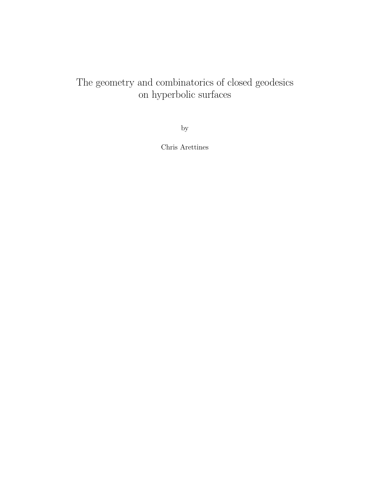# The geometry and combinatorics of closed geodesics on hyperbolic surfaces

by

Chris Arettines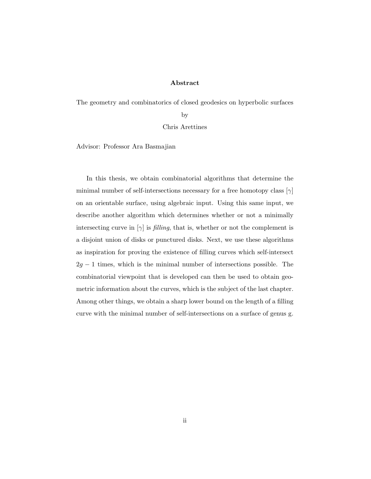#### **Abstract**

The geometry and combinatorics of closed geodesics on hyperbolic surfaces

by

Chris Arettines

Advisor: Professor Ara Basmajian

In this thesis, we obtain combinatorial algorithms that determine the minimal number of self-intersections necessary for a free homotopy class [*γ*] on an orientable surface, using algebraic input. Using this same input, we describe another algorithm which determines whether or not a minimally intersecting curve in  $[\gamma]$  is *filling*, that is, whether or not the complement is a disjoint union of disks or punctured disks. Next, we use these algorithms as inspiration for proving the existence of filling curves which self-intersect 2*g −* 1 times, which is the minimal number of intersections possible. The combinatorial viewpoint that is developed can then be used to obtain geometric information about the curves, which is the subject of the last chapter. Among other things, we obtain a sharp lower bound on the length of a filling curve with the minimal number of self-intersections on a surface of genus g.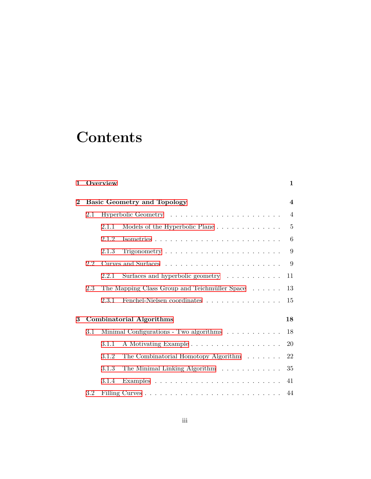# **Contents**

| $\mathbf 1$    |                                    | Overview |                                                                    | $\mathbf{1}$   |  |  |
|----------------|------------------------------------|----------|--------------------------------------------------------------------|----------------|--|--|
| $\overline{2}$ | <b>Basic Geometry and Topology</b> |          |                                                                    |                |  |  |
|                | 2.1                                |          |                                                                    | $\overline{4}$ |  |  |
|                |                                    | 2.1.1    | Models of the Hyperbolic Plane                                     | $\overline{5}$ |  |  |
|                |                                    | 2.1.2    |                                                                    | 6              |  |  |
|                |                                    | 2.1.3    | Trigonometry $\dots \dots \dots \dots \dots \dots \dots \dots$     | 9              |  |  |
|                | 2.2                                |          |                                                                    | 9              |  |  |
|                |                                    | 2.2.1    | Surfaces and hyperbolic geometry $\dots \dots \dots$               | 11             |  |  |
|                | 2.3                                |          | The Mapping Class Group and Teichmüller Space                      | 13             |  |  |
|                |                                    | 2.3.1    | Fenchel-Nielsen coordinates                                        | 15             |  |  |
| 3              |                                    |          | <b>Combinatorial Algorithms</b>                                    | 18             |  |  |
|                | $3.1\,$                            |          | Minimal Configurations - Two algorithms $\ldots \ldots \ldots$     | 18             |  |  |
|                |                                    | 3.1.1    |                                                                    | <b>20</b>      |  |  |
|                |                                    | 3.1.2    | The Combinatorial Homotopy Algorithm                               | 22             |  |  |
|                |                                    | 3.1.3    | The Minimal Linking Algorithm                                      | 35             |  |  |
|                |                                    | 3.1.4    | Examples $\ldots \ldots \ldots \ldots \ldots \ldots \ldots \ldots$ | 41             |  |  |
|                | $3.2\,$                            |          |                                                                    | 44             |  |  |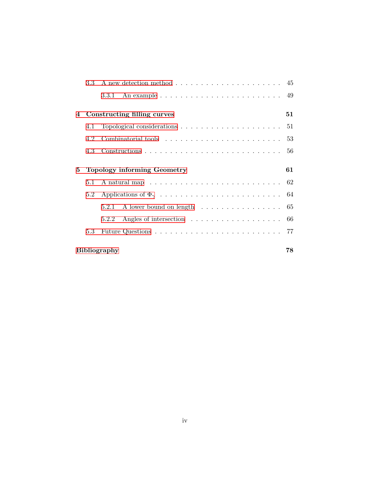|   | 3.3 <sub>1</sub>    |                                                                               |    |  |  |  |  |  |  |
|---|---------------------|-------------------------------------------------------------------------------|----|--|--|--|--|--|--|
|   |                     | 3.3.1 An example $\ldots \ldots \ldots \ldots \ldots \ldots \ldots \ldots$ 49 |    |  |  |  |  |  |  |
| 4 |                     | Constructing filling curves                                                   | 51 |  |  |  |  |  |  |
|   | 4.1                 |                                                                               |    |  |  |  |  |  |  |
|   | 4.2                 |                                                                               |    |  |  |  |  |  |  |
|   | 4.3                 |                                                                               |    |  |  |  |  |  |  |
| 5 |                     | <b>Topology informing Geometry</b>                                            | 61 |  |  |  |  |  |  |
|   | 5.1                 |                                                                               |    |  |  |  |  |  |  |
|   |                     |                                                                               |    |  |  |  |  |  |  |
|   |                     | 5.2.1                                                                         |    |  |  |  |  |  |  |
|   |                     | 5.2.2                                                                         |    |  |  |  |  |  |  |
|   | 5.3                 |                                                                               |    |  |  |  |  |  |  |
|   | <b>Bibliography</b> |                                                                               |    |  |  |  |  |  |  |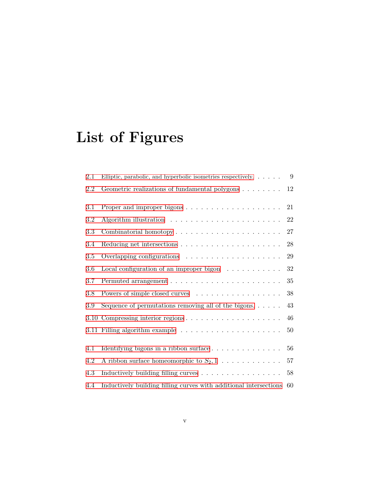# **List of Figures**

| 2.1 | Elliptic, parabolic, and hyperbolic isometries respectively. $\dots$ . | 9      |
|-----|------------------------------------------------------------------------|--------|
| 2.2 | Geometric realizations of fundamental polygons                         | 12     |
| 3.1 |                                                                        | 21     |
| 3.2 |                                                                        | 22     |
| 3.3 |                                                                        | 27     |
| 3.4 |                                                                        | 28     |
| 3.5 |                                                                        | 29     |
| 3.6 | Local configuration of an improper bigon $\dots \dots \dots$           | 32     |
| 3.7 |                                                                        | 35     |
| 3.8 | Powers of simple closed curves                                         | 38     |
| 3.9 | Sequence of permutations removing all of the bigons. $\dots$ .         | 43     |
|     |                                                                        | 46     |
|     |                                                                        | 50     |
| 4.1 | Identifying bigons in a ribbon surface                                 | 56     |
| 4.2 | A ribbon surface homeomorphic to $S_2, 1, \ldots, \ldots, \ldots$      | 57     |
| 4.3 | Inductively building filling curves                                    | $58\,$ |
| 4.4 | Inductively building filling curves with additional intersections      | 60     |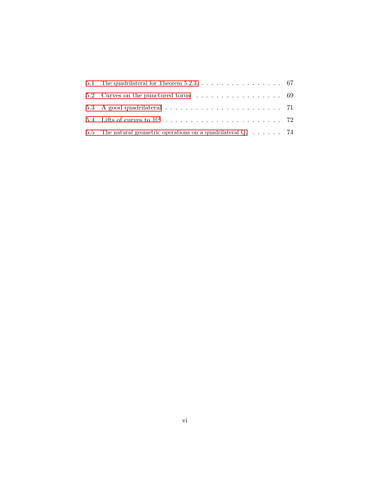| 5.1 The quadrilateral for Theorem 5.2.3. $\dots$ $\dots$ $\dots$ $\dots$ $\dots$ $\dots$ 67 |  |
|---------------------------------------------------------------------------------------------|--|
| 5.2 Curves on the punctured torus $\ldots \ldots \ldots \ldots \ldots$ 69                   |  |
|                                                                                             |  |
|                                                                                             |  |
| 5.5 The natural geometric operations on a quadrilateral $Q_1, \ldots, \ldots, 74$           |  |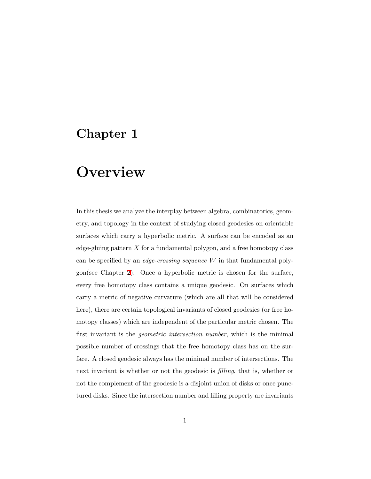# <span id="page-6-0"></span>**Chapter 1**

# **Overview**

In this thesis we analyze the interplay between algebra, combinatorics, geometry, and topology in the context of studying closed geodesics on orientable surfaces which carry a hyperbolic metric. A surface can be encoded as an edge-gluing pattern *X* for a fundamental polygon, and a free homotopy class can be specified by an *edge-crossing sequence W* in that fundamental polygon(see Chapter [2](#page-9-0)). Once a hyperbolic metric is chosen for the surface, every free homotopy class contains a unique geodesic. On surfaces which carry a metric of negative curvature (which are all that will be considered here), there are certain topological invariants of closed geodesics (or free homotopy classes) which are independent of the particular metric chosen. The first invariant is the *geometric intersection number*, which is the minimal possible number of crossings that the free homotopy class has on the surface. A closed geodesic always has the minimal number of intersections. The next invariant is whether or not the geodesic is *filling*, that is, whether or not the complement of the geodesic is a disjoint union of disks or once punctured disks. Since the intersection number and filling property are invariants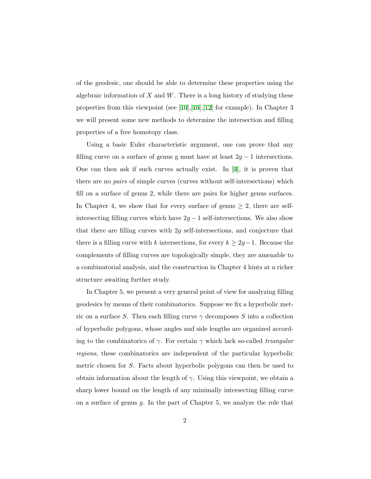of the geodesic, one should be able to determine these properties using the algebraic information of *X* and *W*. There is a long history of studying these propertiesfrom this viewpoint (see [[10](#page-85-0)],[\[16](#page-85-1)],[\[12](#page-85-2)] for example). In Chapter 3 we will present some new methods to determine the intersection and filling properties of a free homotopy class.

Using a basic Euler characteristic argument, one can prove that any filling curve on a surface of genus g must have at least  $2g - 1$  intersections. One can then ask if such curves actually exist. In[[4](#page-84-0)], it is proven that there are no *pairs* of simple curves (curves without self-intersections) which fill on a surface of genus 2, while there are pairs for higher genus surfaces. In Chapter 4, we show that for every surface of genus  $\geq 2$ , there are selfintersecting filling curves which have  $2g - 1$  self-intersections. We also show that there are filling curves with 2*g* self-intersections, and conjecture that there is a filling curve with *k* intersections, for every  $k \geq 2g - 1$ . Because the complements of filling curves are topologically simple, they are amenable to a combinatorial analysis, and the construction in Chapter 4 hints at a richer structure awaiting further study.

In Chapter 5, we present a very general point of view for analyzing filling geodesics by means of their combinatorics. Suppose we fix a hyperbolic metric on a surface *S*. Then each filling curve  $\gamma$  decomposes *S* into a collection of hyperbolic polygons, whose angles and side lengths are organized according to the combinatorics of *γ*. For certain *γ* which lack so-called *triangular regions*, these combinatorics are independent of the particular hyperbolic metric chosen for *S*. Facts about hyperbolic polygons can then be used to obtain information about the length of  $\gamma$ . Using this viewpoint, we obtain a sharp lower bound on the length of any minimally intersecting filling curve on a surface of genus *g*. In the part of Chapter 5, we analyze the role that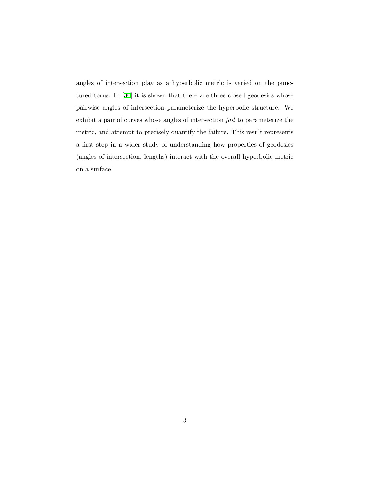angles of intersection play as a hyperbolic metric is varied on the punctured torus. In[[30\]](#page-87-0) it is shown that there are three closed geodesics whose pairwise angles of intersection parameterize the hyperbolic structure. We exhibit a pair of curves whose angles of intersection *fail* to parameterize the metric, and attempt to precisely quantify the failure. This result represents a first step in a wider study of understanding how properties of geodesics (angles of intersection, lengths) interact with the overall hyperbolic metric on a surface.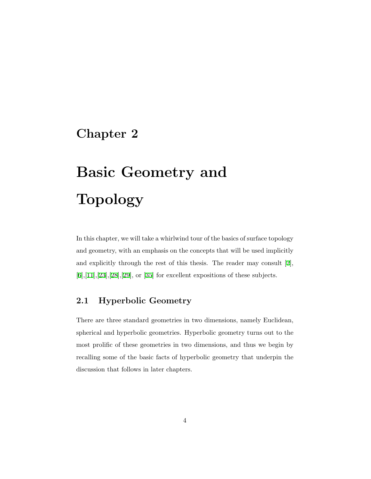## <span id="page-9-0"></span>**Chapter 2**

# **Basic Geometry and Topology**

In this chapter, we will take a whirlwind tour of the basics of surface topology and geometry, with an emphasis on the concepts that will be used implicitly and explicitly through the rest of this thesis. The reader may consult[[2](#page-84-1)],  $[6], [11], [23], [28], [29],$  $[6], [11], [23], [28], [29],$  $[6], [11], [23], [28], [29],$  $[6], [11], [23], [28], [29],$  $[6], [11], [23], [28], [29],$  $[6], [11], [23], [28], [29],$  $[6], [11], [23], [28], [29],$  $[6], [11], [23], [28], [29],$  $[6], [11], [23], [28], [29],$  $[6], [11], [23], [28], [29],$  $[6], [11], [23], [28], [29],$  or  $[35]$  for excellent expositions of these subjects.

#### <span id="page-9-1"></span>**2.1 Hyperbolic Geometry**

There are three standard geometries in two dimensions, namely Euclidean, spherical and hyperbolic geometries. Hyperbolic geometry turns out to the most prolific of these geometries in two dimensions, and thus we begin by recalling some of the basic facts of hyperbolic geometry that underpin the discussion that follows in later chapters.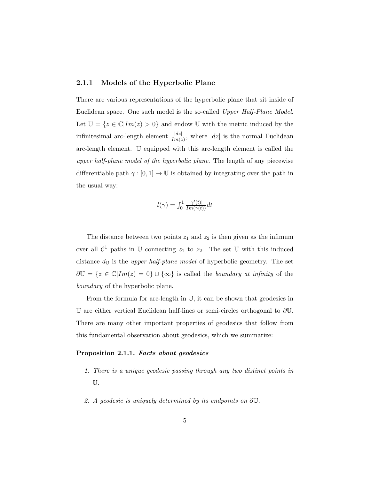#### <span id="page-10-0"></span>**2.1.1 Models of the Hyperbolic Plane**

There are various representations of the hyperbolic plane that sit inside of Euclidean space. One such model is the so-called *Upper Half-Plane Model*. Let  $\mathbb{U} = \{z \in \mathbb{C} | Im(z) > 0\}$  and endow U with the metric induced by the infinitesimal arc-length element  $\frac{|dz|}{Im(z)}$ , where  $|dz|$  is the normal Euclidean arc-length element. U equipped with this arc-length element is called the *upper half-plane model of the hyperbolic plane*. The length of any piecewise differentiable path  $\gamma : [0,1] \to \mathbb{U}$  is obtained by integrating over the path in the usual way:

$$
l(\gamma) = \int_0^1 \frac{|\gamma'(t)|}{Im(\gamma(t))} dt
$$

The distance between two points  $z_1$  and  $z_2$  is then given as the infimum over all  $\mathcal{C}^1$  paths in U connecting  $z_1$  to  $z_2$ . The set U with this induced distance  $d_{\mathbb{U}}$  is the *upper half-plane model* of hyperbolic geometry. The set *∂*U = *{z ∈* C*|Im*(*z*) = 0*} ∪ {∞}* is called the *boundary at infinity* of the *boundary* of the hyperbolic plane.

From the formula for arc-length in U, it can be shown that geodesics in U are either vertical Euclidean half-lines or semi-circles orthogonal to *∂*U. There are many other important properties of geodesics that follow from this fundamental observation about geodesics, which we summarize:

#### <span id="page-10-1"></span>**Proposition 2.1.1.** *Facts about geodesics*

- *1. There is a unique geodesic passing through any two distinct points in* U*.*
- *2. A geodesic is uniquely determined by its endpoints on ∂*U*.*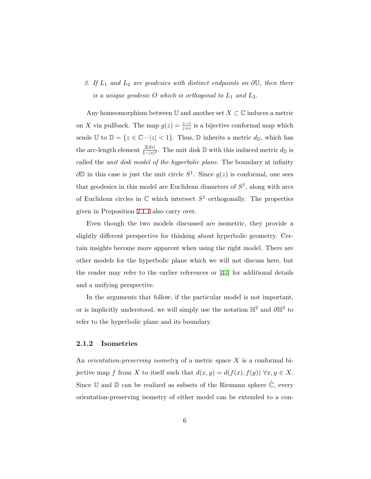### *3. If L*<sup>1</sup> *and L*<sup>2</sup> *are geodesics with distinct endpoints on ∂*U*, then there is a unique geodesic*  $O$  *which is orthogonal to*  $L_1$  *and*  $L_2$ *.*

Any homeomorphism between  $\mathbb U$  and another set  $X \subset \mathbb C$  induces a metric on *X* via pullback. The map  $g(z) = \frac{z-i}{z+i}$  is a bijective conformal map which sends  $\mathbb{U}$  to  $\mathbb{D} = \{z \in \mathbb{C} \setminus |z| < 1\}$ . Thus,  $\mathbb{D}$  inherits a metric  $d_{\mathbb{D}}$ , which has the arc-length element  $\frac{2|dz|}{1-|z|^2}$ . The unit disk D with this induced metric  $d_{\mathbb{D}}$  is called the *unit disk model of the hyperbolic plane*. The boundary at infinity *∂***D** in this case is just the unit circle  $S^1$ . Since  $g(z)$  is conformal, one sees that geodesics in this model are Euclidean diameters of  $S<sup>1</sup>$ , along with arcs of Euclidean circles in  $\mathbb C$  which intersect  $S^1$  orthogonally. The properties given in Proposition [2.1.1](#page-10-1) also carry over.

Even though the two models discussed are isometric, they provide a slightly different perspective for thinking about hyperbolic geometry. Certain insights become more apparent when using the right model. There are other models for the hyperbolic plane which we will not discuss here, but the reader may refer to the earlier references or [\[37](#page-87-3)] for additional details and a unifying perspective.

In the arguments that follow, if the particular model is not important, or is implicitly understood, we will simply use the notation  $\mathbb{H}^2$  and  $\partial \mathbb{H}^2$  to refer to the hyperbolic plane and its boundary.

#### <span id="page-11-0"></span>**2.1.2 Isometries**

An *orientation-preserving isometry* of a metric space *X* is a conformal bijective map *f* from *X* to itself such that  $d(x, y) = d(f(x), f(y)) \,\forall x, y \in X$ . Since  $\mathbb U$  and  $\mathbb D$  can be realized as subsets of the Riemann sphere  $\mathbb C$ , every orientation-preserving isometry of either model can be extended to a con-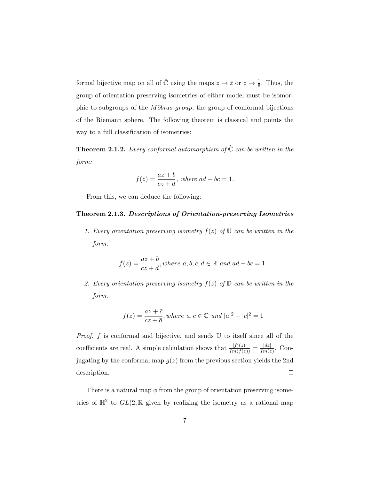formal bijective map on all of  $\hat{\mathbb{C}}$  using the maps  $z \mapsto \bar{z}$  or  $z \mapsto \frac{1}{\bar{z}}$ . Thus, the group of orientation preserving isometries of either model must be isomorphic to subgroups of the *Möbius group*, the group of conformal bijections of the Riemann sphere. The following theorem is classical and points the way to a full classification of isometries:

**Theorem 2.1.2.** *Every conformal automorphism of*  $\hat{\mathbb{C}}$  *can be written in the form:*

$$
f(z) = \frac{az+b}{cz+d}, \text{ where } ad-bc = 1.
$$

From this, we can deduce the following:

#### <span id="page-12-0"></span>**Theorem 2.1.3.** *Descriptions of Orientation-preserving Isometries*

*1. Every orientation preserving isometry*  $f(z)$  *of*  $\mathbb U$  *can be written in the form:*

$$
f(z) = \frac{az+b}{cz+d}, where \ a, b, c, d \in \mathbb{R} \ and \ ad-bc = 1.
$$

2. Every orientation preserving isometry  $f(z)$  of  $D$  *can be written in the form:*

$$
f(z) = \frac{az + \bar{c}}{cz + \bar{a}}, where \ a, c \in \mathbb{C} \ and \ |a|^2 - |c|^2 = 1
$$

*Proof. f* is conformal and bijective, and sends U to itself since all of the coefficients are real. A simple calculation shows that  $\frac{|f'(z)|}{Im(f(z))} = \frac{|dz|}{Im(z)}$ . Conjugating by the conformal map  $g(z)$  from the previous section yields the 2nd description.  $\Box$ 

There is a natural map  $\phi$  from the group of orientation preserving isometries of  $\mathbb{H}^2$  to  $GL(2,\mathbb{R})$  given by realizing the isometry as a rational map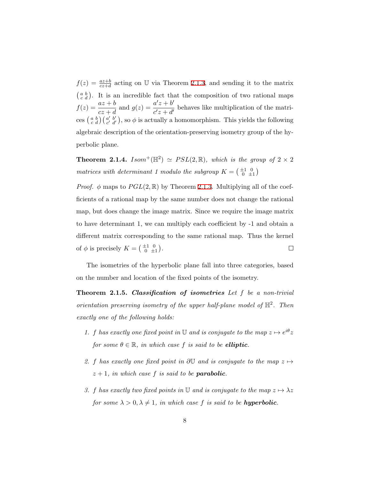$f(z) = \frac{az+b}{cz+d}$  acting on U via Theorem [2.1.3](#page-12-0), and sending it to the matrix  $\begin{pmatrix} a & b \\ c & d \end{pmatrix}$ . It is an incredible fact that the composition of two rational maps  $f(z) = \frac{az+b}{cz+d}$  and  $g(z) = \frac{a'z+b'}{c'z+d'}$  $\frac{d^2z + d^2}{dz^2 + d^2}$  behaves like multiplication of the matrices  $\begin{pmatrix} a & b \\ c & d \end{pmatrix}$   $\begin{pmatrix} a' & b' \\ c' & d' \end{pmatrix}$ , so  $\phi$  is actually a homomorphism. This yields the following algebraic description of the orientation-preserving isometry group of the hyperbolic plane.

**Theorem 2.1.4.** *Isom*<sup>+</sup>( $\mathbb{H}^2$ )  $\simeq$  *PSL*(2,  $\mathbb{R}$ )*, which is the group of* 2  $\times$  2 *matrices with determinant 1 modulo the subgroup*  $K = \begin{pmatrix} \pm 1 & 0 \\ 0 & \pm 1 \end{pmatrix}$ 

*Proof.*  $\phi$  maps to  $PGL(2,\mathbb{R})$  by Theorem [2.1.3](#page-12-0). Multiplying all of the coefficients of a rational map by the same number does not change the rational map, but does change the image matrix. Since we require the image matrix to have determinant 1, we can multiply each coefficient by -1 and obtain a different matrix corresponding to the same rational map. Thus the kernel of  $\phi$  is precisely  $K = \begin{pmatrix} \pm 1 & 0 \\ 0 & \pm 1 \end{pmatrix}$ .  $\Box$ 

The isometries of the hyperbolic plane fall into three categories, based on the number and location of the fixed points of the isometry.

**Theorem 2.1.5.** *Classification of isometries Let f be a non-trivial orientation preserving isometry of the upper half-plane model of*  $\mathbb{H}^2$ . Then *exactly one of the following holds:*

- *1. f* has exactly one fixed point in U and is conjugate to the map  $z \mapsto e^{i\theta}z$ *for some*  $\theta \in \mathbb{R}$ *, in which case f is said to be elliptic.*
- 2. *f* has exactly one fixed point in  $\partial U$  and is conjugate to the map  $z \mapsto$  $z + 1$ *, in which case f is said to be parabolic.*
- *3. f* has exactly two fixed points in U and is conjugate to the map  $z \mapsto \lambda z$ *for some*  $\lambda > 0, \lambda \neq 1$ *, in which case f is said to be hyperbolic.*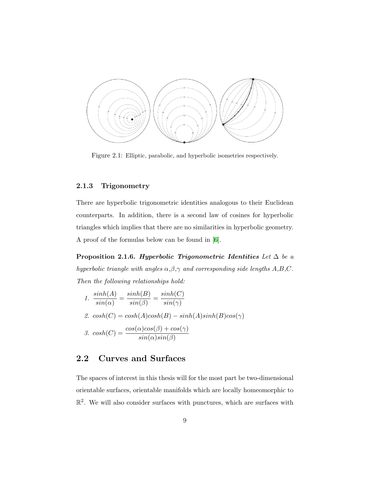<span id="page-14-2"></span>

Figure 2.1: Elliptic, parabolic, and hyperbolic isometries respectively.

#### <span id="page-14-0"></span>**2.1.3 Trigonometry**

There are hyperbolic trigonometric identities analogous to their Euclidean counterparts. In addition, there is a second law of cosines for hyperbolic triangles which implies that there are no similarities in hyperbolic geometry. A proof of the formulas below can be found in[[6](#page-84-2)].

**Proposition 2.1.6.** *Hyperbolic Trigonometric Identities Let*  $\Delta$  *be a hyperbolic triangle with angles α,β,γ and corresponding side lengths A,B,C. Then the following relationships hold:*

1. 
$$
\frac{\sinh(A)}{\sin(\alpha)} = \frac{\sinh(B)}{\sin(\beta)} = \frac{\sinh(C)}{\sin(\gamma)}
$$
  
2. 
$$
\cosh(C) = \cosh(A)\cosh(B) - \sinh(A)\sinh(B)\cos(\gamma)
$$
  
3. 
$$
\cosh(C) = \frac{\cos(\alpha)\cos(\beta) + \cos(\gamma)}{\sin(\alpha)\sin(\beta)}
$$

#### <span id="page-14-1"></span>**2.2 Curves and Surfaces**

The spaces of interest in this thesis will for the most part be two-dimensional orientable surfaces, orientable manifolds which are locally homeomorphic to  $\mathbb{R}^2$ . We will also consider surfaces with punctures, which are surfaces with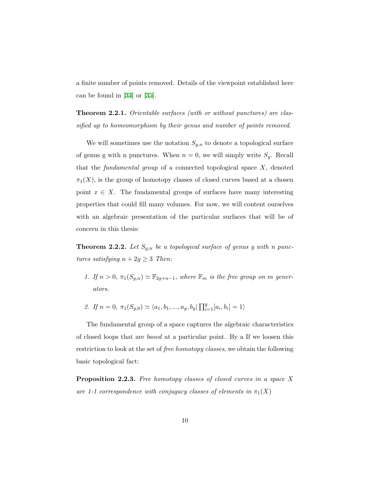a finite number of points removed. Details of the viewpoint established here can be found in[[34\]](#page-87-4) or[[35\]](#page-87-2).

**Theorem 2.2.1.** *Orientable surfaces (with or without punctures) are classified up to homeomorphism by their genus and number of points removed.*

We will sometimes use the notation  $S_{g,n}$  to denote a topological surface of genus g with n punctures. When  $n = 0$ , we will simply write  $S_g$ . Recall that the *fundamental group* of a connected topological space *X*, denoted  $\pi_1(X)$ , is the group of homotopy classes of closed curves based at a chosen point  $x \in X$ . The fundamental groups of surfaces have many interesting properties that could fill many volumes. For now, we will content ourselves with an algebraic presentation of the particular surfaces that will be of concern in this thesis:

**Theorem 2.2.2.** Let  $S_{g,n}$  be a topological surface of genus g with n punc*tures satisfying*  $n + 2g \geq 3$  *Then:* 

- *1. If*  $n > 0$ ,  $\pi_1(S_{g,n}) \simeq \mathbb{F}_{2g+n-1}$ , where  $\mathbb{F}_m$  *is the free group on m* gener*ators.*
- *2. If*  $n = 0, \pi_1(S_{g,0}) \simeq \langle a_1, b_1, ..., a_g, b_g | \prod_{i=1}^g [a_i, b_i] = 1 \rangle$

The fundamental group of a space captures the algebraic characteristics of closed loops that are *based* at a particular point. By a If we loosen this restriction to look at the set of *free homotopy classes*, we obtain the following basic topological fact:

**Proposition 2.2.3.** *Free homotopy classes of closed curves in a space X are 1-1 correspondence with conjugacy classes of elements in*  $\pi_1(X)$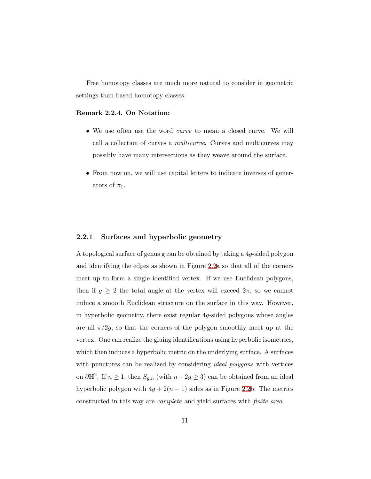Free homotopy classes are much more natural to consider in geometric settings than based homotopy classes.

#### **Remark 2.2.4. On Notation:**

- *•* We use often use the word *curve* to mean a closed curve. We will call a collection of curves a *multicurve*. Curves and multicurves may possibly have many intersections as they weave around the surface.
- From now on, we will use capital letters to indicate inverses of generators of  $\pi_1$ .

#### <span id="page-16-0"></span>**2.2.1 Surfaces and hyperbolic geometry**

A topological surface of genus g can be obtained by taking a 4*g*-sided polygon and identifying the edges as shown in Figure [2.2](#page-17-0)a so that all of the corners meet up to form a single identified vertex. If we use Euclidean polygons, then if  $g \geq 2$  the total angle at the vertex will exceed  $2\pi$ , so we cannot induce a smooth Euclidean structure on the surface in this way. However, in hyperbolic geometry, there exist regular 4*g*-sided polygons whose angles are all  $\pi/2g$ , so that the corners of the polygon smoothly meet up at the vertex. One can realize the gluing identifications using hyperbolic isometries, which then induces a hyperbolic metric on the underlying surface. A surfaces with punctures can be realized by considering *ideal polygons* with vertices on  $\partial \mathbb{H}^2$ . If  $n \geq 1$ , then  $S_{g,n}$  (with  $n+2g \geq 3$ ) can be obtained from an ideal hyperbolic polygon with  $4g + 2(n - 1)$  sides as in Figure [2.2](#page-17-0)b. The metrics constructed in this way are *complete* and yield surfaces with *finite area*.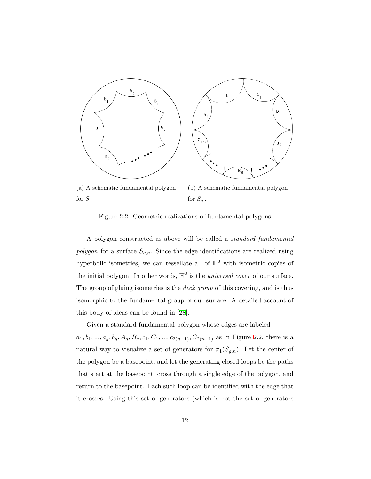<span id="page-17-0"></span>

(a) A schematic fundamental polygon for  $S_g$ 

(b) A schematic fundamental polygon for *Sg,n*

Figure 2.2: Geometric realizations of fundamental polygons

A polygon constructed as above will be called a *standard fundamental polygon* for a surface *Sg,n*. Since the edge identifications are realized using hyperbolic isometries, we can tessellate all of  $\mathbb{H}^2$  with isometric copies of the initial polygon. In other words,  $\mathbb{H}^2$  is the *universal cover* of our surface. The group of gluing isometries is the *deck group* of this covering, and is thus isomorphic to the fundamental group of our surface. A detailed account of this body of ideas can be found in[[28\]](#page-86-1).

Given a standard fundamental polygon whose edges are labeled  $a_1, b_1, \ldots, a_g, b_g, A_g, B_g, c_1, C_1, \ldots, c_{2(n-1)}, C_{2(n-1)}$  as in Figure [2.2](#page-17-0), there is a natural way to visualize a set of generators for  $\pi_1(S_{g,n})$ . Let the center of the polygon be a basepoint, and let the generating closed loops be the paths that start at the basepoint, cross through a single edge of the polygon, and return to the basepoint. Each such loop can be identified with the edge that it crosses. Using this set of generators (which is not the set of generators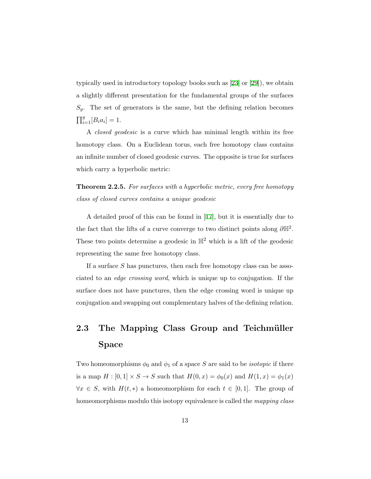typically used in introductory topology books such as[[23](#page-86-0)] or[[29\]](#page-87-1)), we obtain a slightly different presentation for the fundamental groups of the surfaces  $S_q$ . The set of generators is the same, but the defining relation becomes  $\prod_{i=1}^{g} [B_i a_i] = 1.$ 

A *closed geodesic* is a curve which has minimal length within its free homotopy class. On a Euclidean torus, each free homotopy class contains an infinite number of closed geodesic curves. The opposite is true for surfaces which carry a hyperbolic metric:

**Theorem 2.2.5.** *For surfaces with a hyperbolic metric, every free homotopy class of closed curves contains a unique geodesic*

A detailed proof of this can be found in [\[17](#page-85-4)], but it is essentially due to the fact that the lifts of a curve converge to two distinct points along  $\partial \mathbb{H}^2$ . These two points determine a geodesic in  $\mathbb{H}^2$  which is a lift of the geodesic representing the same free homotopy class.

If a surface *S* has punctures, then each free homotopy class can be associated to an *edge crossing word*, which is unique up to conjugation. If the surface does not have punctures, then the edge crossing word is unique up conjugation and swapping out complementary halves of the defining relation.

## <span id="page-18-0"></span>**2.3 The Mapping Class Group and Teichmüller Space**

Two homeomorphisms  $\phi_0$  and  $\phi_1$  of a space *S* are said to be *isotopic* if there is a map  $H : [0,1] \times S \to S$  such that  $H(0,x) = \phi_0(x)$  and  $H(1,x) = \phi_1(x)$ *∀x*  $∈$  *S*, with *H*(*t*, *\**) a homeomorphism for each  $t ∈ [0, 1]$ . The group of homeomorphisms modulo this isotopy equivalence is called the *mapping class*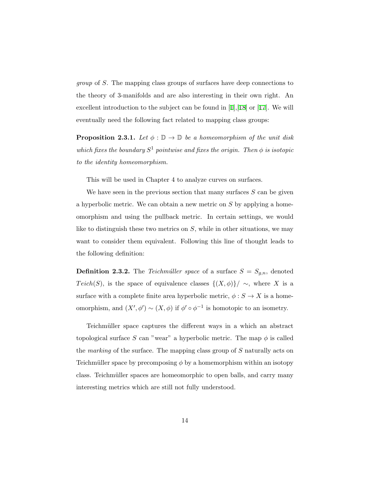*group* of *S*. The mapping class groups of surfaces have deep connections to the theory of 3-manifolds and are also interesting in their own right. An excellent introduction to the subject can be found in[[1](#page-84-3)],[[18](#page-86-2)] or[[17](#page-85-4)]. We will eventually need the following fact related to mapping class groups:

**Proposition 2.3.1.** *Let*  $\phi : \mathbb{D} \to \mathbb{D}$  *be a homeomorphism of the unit disk which fixes the boundary*  $S^1$  *pointwise and fixes the origin. Then*  $\phi$  *is isotopic to the identity homeomorphism.*

This will be used in Chapter 4 to analyze curves on surfaces.

We have seen in the previous section that many surfaces *S* can be given a hyperbolic metric. We can obtain a new metric on *S* by applying a homeomorphism and using the pullback metric. In certain settings, we would like to distinguish these two metrics on *S*, while in other situations, we may want to consider them equivalent. Following this line of thought leads to the following definition:

**Definition 2.3.2.** The *Teichmûller space* of a surface  $S = S_{g,n}$ , denoted *Teich*(*S*), is the space of equivalence classes  $\{(X, \phi)\}/\sim$ , where *X* is a surface with a complete finite area hyperbolic metric,  $\phi : S \to X$  is a homeomorphism, and  $(X', \phi') \sim (X, \phi)$  if  $\phi' \circ \phi^{-1}$  is homotopic to an isometry.

Teichmüller space captures the different ways in a which an abstract topological surface *S* can "wear" a hyperbolic metric. The map  $\phi$  is called the *marking* of the surface. The mapping class group of *S* naturally acts on Teichmüller space by precomposing  $\phi$  by a homemorphism within an isotopy class. Teichmüller spaces are homeomorphic to open balls, and carry many interesting metrics which are still not fully understood.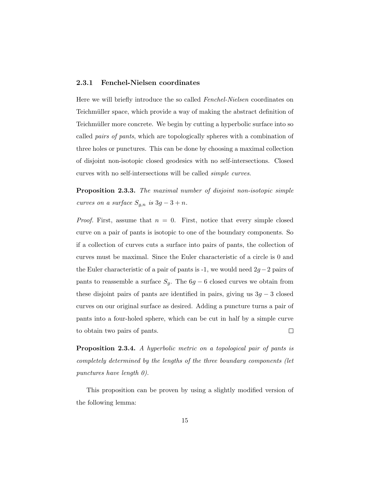#### <span id="page-20-0"></span>**2.3.1 Fenchel-Nielsen coordinates**

Here we will briefly introduce the so called *Fenchel-Nielsen* coordinates on Teichmüller space, which provide a way of making the abstract definition of Teichmüller more concrete. We begin by cutting a hyperbolic surface into so called *pairs of pants*, which are topologically spheres with a combination of three holes or punctures. This can be done by choosing a maximal collection of disjoint non-isotopic closed geodesics with no self-intersections. Closed curves with no self-intersections will be called *simple curves*.

**Proposition 2.3.3.** *The maximal number of disjoint non-isotopic simple curves on a surface*  $S_{g,n}$  *is*  $3g-3+n$ *.* 

*Proof.* First, assume that  $n = 0$ . First, notice that every simple closed curve on a pair of pants is isotopic to one of the boundary components. So if a collection of curves cuts a surface into pairs of pants, the collection of curves must be maximal. Since the Euler characteristic of a circle is 0 and the Euler characteristic of a pair of pants is -1, we would need 2*g−*2 pairs of pants to reassemble a surface  $S_g$ . The  $6g - 6$  closed curves we obtain from these disjoint pairs of pants are identified in pairs, giving us 3*g −* 3 closed curves on our original surface as desired. Adding a puncture turns a pair of pants into a four-holed sphere, which can be cut in half by a simple curve to obtain two pairs of pants.  $\Box$ 

<span id="page-20-1"></span>**Proposition 2.3.4.** *A hyperbolic metric on a topological pair of pants is completely determined by the lengths of the three boundary components (let punctures have length 0).*

This proposition can be proven by using a slightly modified version of the following lemma: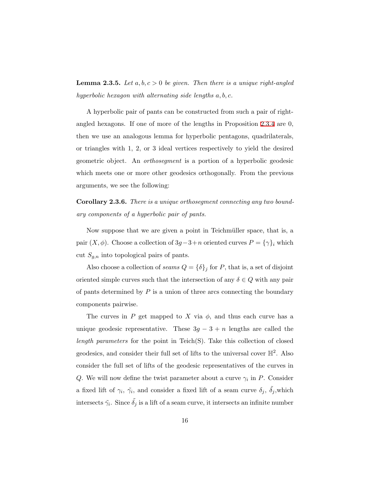**Lemma 2.3.5.** *Let*  $a, b, c > 0$  *be given. Then there is a unique right-angled hyperbolic hexagon with alternating side lengths a, b, c.*

A hyperbolic pair of pants can be constructed from such a pair of rightangled hexagons. If one of more of the lengths in Proposition [2.3.4](#page-20-1) are 0, then we use an analogous lemma for hyperbolic pentagons, quadrilaterals, or triangles with 1, 2, or 3 ideal vertices respectively to yield the desired geometric object. An *orthosegment* is a portion of a hyperbolic geodesic which meets one or more other geodesics orthogonally. From the previous arguments, we see the following:

**Corollary 2.3.6.** *There is a unique orthosegment connecting any two boundary components of a hyperbolic pair of pants.*

Now suppose that we are given a point in Teichmüller space, that is, a pair  $(X, \phi)$ . Choose a collection of  $3g - 3 + n$  oriented curves  $P = {\gamma}_i$  which cut *Sg,n* into topological pairs of pants.

Also choose a collection of *seams*  $Q = {\delta}_j$  for *P*, that is, a set of disjoint oriented simple curves such that the intersection of any  $\delta \in Q$  with any pair of pants determined by *P* is a union of three arcs connecting the boundary components pairwise.

The curves in  $P$  get mapped to  $X$  via  $\phi$ , and thus each curve has a unique geodesic representative. These  $3g - 3 + n$  lengths are called the *length parameters* for the point in Teich(S). Take this collection of closed geodesics, and consider their full set of lifts to the universal cover  $\mathbb{H}^2$ . Also consider the full set of lifts of the geodesic representatives of the curves in *Q*. We will now define the twist parameter about a curve *γ<sup>i</sup>* in *P*. Consider a fixed lift of  $\gamma_i$ ,  $\tilde{\gamma_i}$ , and consider a fixed lift of a seam curve  $\delta_j$ ,  $\tilde{\delta_j}$ , which intersects  $\tilde{\gamma}_i$ . Since  $\tilde{\delta}_j$  is a lift of a seam curve, it intersects an infinite number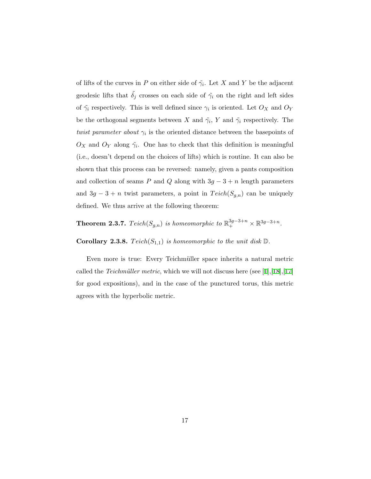of lifts of the curves in *P* on either side of  $\tilde{\gamma}_i$ . Let *X* and *Y* be the adjacent geodesic lifts that  $\tilde{\delta}_j$  crosses on each side of  $\tilde{\gamma}_i$  on the right and left sides of  $\tilde{\gamma}_i$  respectively. This is well defined since  $\gamma_i$  is oriented. Let  $O_X$  and  $O_Y$ be the orthogonal segments between *X* and  $\tilde{\gamma}_i$ , *Y* and  $\tilde{\gamma}_i$  respectively. The *twist parameter about*  $\gamma_i$  is the oriented distance between the basepoints of  $O_X$  and  $O_Y$  along  $\tilde{\gamma}_i$ . One has to check that this definition is meaningful (i.e., doesn't depend on the choices of lifts) which is routine. It can also be shown that this process can be reversed: namely, given a pants composition and collection of seams *P* and *Q* along with  $3g - 3 + n$  length parameters and  $3g - 3 + n$  twist parameters, a point in  $Teich(S_{g,n})$  can be uniquely defined. We thus arrive at the following theorem:

**Theorem 2.3.7.**  $Teich(S_{g,n})$  is homeomorphic to  $\mathbb{R}^{3g-3+n}_+ \times \mathbb{R}^{3g-3+n}$ .

**Corollary 2.3.8.**  $Teich(S_{1,1})$  *is homeomorphic to the unit disk*  $\mathbb{D}$ *.* 

Even more is true: Every Teichmüller space inherits a natural metric calledthe *Teichmüller metric*, which we will not discuss here (see [[1](#page-84-3)],[[18](#page-86-2)],[[17](#page-85-4)] for good expositions), and in the case of the punctured torus, this metric agrees with the hyperbolic metric.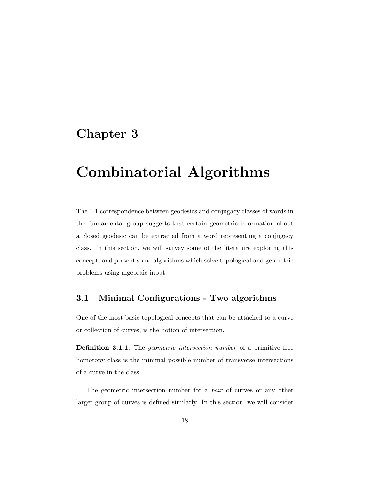# <span id="page-23-0"></span>**Chapter 3**

# **Combinatorial Algorithms**

The 1-1 correspondence between geodesics and conjugacy classes of words in the fundamental group suggests that certain geometric information about a closed geodesic can be extracted from a word representing a conjugacy class. In this section, we will survey some of the literature exploring this concept, and present some algorithms which solve topological and geometric problems using algebraic input.

#### <span id="page-23-1"></span>**3.1 Minimal Configurations - Two algorithms**

One of the most basic topological concepts that can be attached to a curve or collection of curves, is the notion of intersection.

**Definition 3.1.1.** The *geometric intersection number* of a primitive free homotopy class is the minimal possible number of transverse intersections of a curve in the class.

The geometric intersection number for a *pair* of curves or any other larger group of curves is defined similarly. In this section, we will consider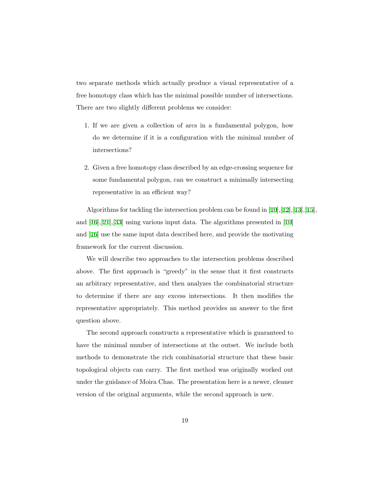two separate methods which actually produce a visual representative of a free homotopy class which has the minimal possible number of intersections. There are two slightly different problems we consider:

- 1. If we are given a collection of arcs in a fundamental polygon, how do we determine if it is a configuration with the minimal number of intersections?
- 2. Given a free homotopy class described by an edge-crossing sequence for some fundamental polygon, can we construct a minimally intersecting representative in an efficient way?

Algorithms for tackling the intersection problem can be found in[[10](#page-85-0)],[\[12](#page-85-2)],[\[13](#page-85-5)],[\[15](#page-85-6)], and[[16\]](#page-85-1),[[21\]](#page-86-3),[[33\]](#page-87-5) using various input data. The algorithms presented in[[10](#page-85-0)] and [\[16](#page-85-1)] use the same input data described here, and provide the motivating framework for the current discussion.

We will describe two approaches to the intersection problems described above. The first approach is "greedy" in the sense that it first constructs an arbitrary representative, and then analyzes the combinatorial structure to determine if there are any excess intersections. It then modifies the representative appropriately. This method provides an answer to the first question above.

The second approach constructs a representative which is guaranteed to have the minimal number of intersections at the outset. We include both methods to demonstrate the rich combinatorial structure that these basic topological objects can carry. The first method was originally worked out under the guidance of Moira Chas. The presentation here is a newer, cleaner version of the original arguments, while the second approach is new.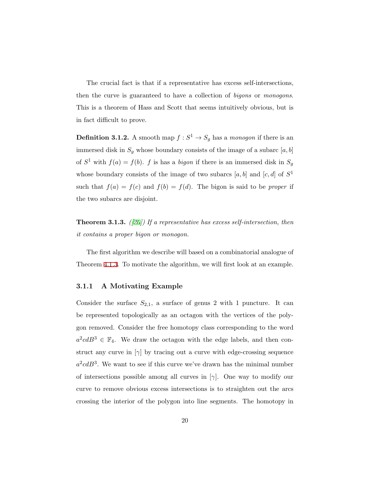The crucial fact is that if a representative has excess self-intersections, then the curve is guaranteed to have a collection of *bigons* or *monogons*. This is a theorem of Hass and Scott that seems intuitively obvious, but is in fact difficult to prove.

**Definition 3.1.2.** A smooth map  $f : S^1 \to S_g$  has a *monogon* if there is an immersed disk in  $S_g$  whose boundary consists of the image of a subarc  $[a, b]$ of  $S^1$  with  $f(a) = f(b)$ . *f* is has a *bigon* if there is an immersed disk in  $S_g$ whose boundary consists of the image of two subarcs  $[a, b]$  and  $[c, d]$  of  $S<sup>1</sup>$ such that  $f(a) = f(c)$  and  $f(b) = f(d)$ . The bigon is said to be *proper* if the two subarcs are disjoint.

**Theorem 3.1.3.** *([\[20](#page-86-4)]) If a representative has excess self-intersection, then it contains a proper bigon or monogon.*

The first algorithm we describe will based on a combinatorial analogue of Theorem [4.1.3.](#page-57-0) To motivate the algorithm, we will first look at an example.

#### <span id="page-25-0"></span>**3.1.1 A Motivating Example**

Consider the surface  $S_{2,1}$ , a surface of genus 2 with 1 puncture. It can be represented topologically as an octagon with the vertices of the polygon removed. Consider the free homotopy class corresponding to the word  $a^2cdB^3 \in \mathbb{F}_4$ . We draw the octagon with the edge labels, and then construct any curve in  $[\gamma]$  by tracing out a curve with edge-crossing sequence  $a^2cdB^3$ . We want to see if this curve we've drawn has the minimal number of intersections possible among all curves in [*γ*]. One way to modify our curve to remove obvious excess intersections is to straighten out the arcs crossing the interior of the polygon into line segments. The homotopy in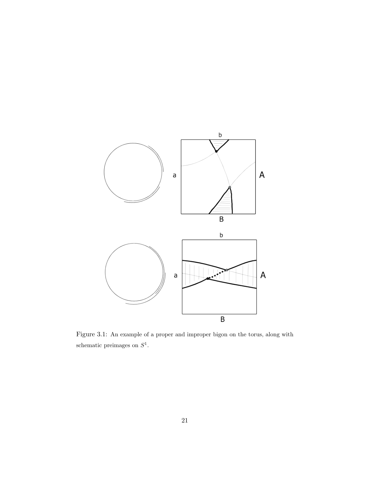<span id="page-26-0"></span>

Figure 3.1: An example of a proper and improper bigon on the torus, along with schematic preimages on *S* 1 .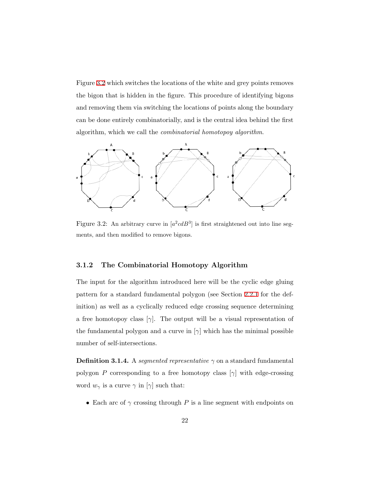Figure [3.2](#page-27-1) which switches the locations of the white and grey points removes the bigon that is hidden in the figure. This procedure of identifying bigons and removing them via switching the locations of points along the boundary can be done entirely combinatorially, and is the central idea behind the first algorithm, which we call the *combinatorial homotopoy algorithm*.

<span id="page-27-1"></span>

Figure 3.2: An arbitrary curve in  $[a^2cdB^3]$  is first straightened out into line segments, and then modified to remove bigons.

#### <span id="page-27-0"></span>**3.1.2 The Combinatorial Homotopy Algorithm**

The input for the algorithm introduced here will be the cyclic edge gluing pattern for a standard fundamental polygon (see Section [2.2.1](#page-16-0) for the definition) as well as a cyclically reduced edge crossing sequence determining a free homotopoy class  $[\gamma]$ . The output will be a visual representation of the fundamental polygon and a curve in [*γ*] which has the minimal possible number of self-intersections.

**Definition 3.1.4.** A *segmented representative*  $\gamma$  on a standard fundamental polygon *P* corresponding to a free homotopy class  $[\gamma]$  with edge-crossing word  $w_{\gamma}$  is a curve  $\gamma$  in [ $\gamma$ ] such that:

*•* Each arc of *γ* crossing through *P* is a line segment with endpoints on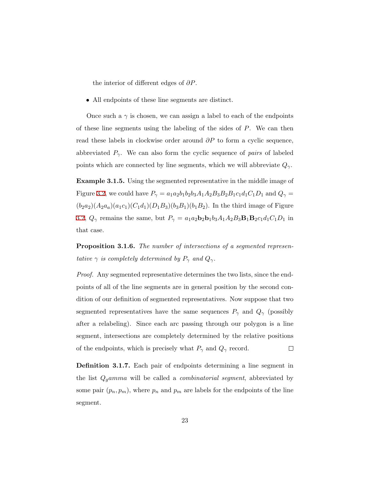the interior of different edges of *∂P*.

• All endpoints of these line segments are distinct.

Once such a  $\gamma$  is chosen, we can assign a label to each of the endpoints of these line segments using the labeling of the sides of *P*. We can then read these labels in clockwise order around *∂P* to form a cyclic sequence, abbreviated  $P_\gamma$ . We can also form the cyclic sequence of *pairs* of labeled points which are connected by line segments, which we will abbreviate  $Q_{\gamma}$ .

**Example 3.1.5.** Using the segmented representative in the middle image of Figure [3.2,](#page-27-1) we could have  $P_{\gamma} = a_1 a_2 b_1 b_2 b_3 A_1 A_2 B_3 B_2 B_1 c_1 d_1 C_1 D_1$  and  $Q_{\gamma} =$  $(b_2a_2)(A_2a_a)(a_1c_1)(C_1d_1)(D_1B_3)(b_3B_1)(b_1B_2)$ . In the third image of Figure [3.2,](#page-27-1)  $Q_{\gamma}$  remains the same, but  $P_{\gamma} = a_1 a_2 b_2 b_1 b_3 A_1 A_2 B_3 B_1 B_2 c_1 d_1 C_1 D_1$  in that case.

**Proposition 3.1.6.** *The number of intersections of a segmented representative*  $\gamma$  *is completely determined by*  $P_{\gamma}$  *and*  $Q_{\gamma}$ *.* 

*Proof.* Any segmented representative determines the two lists, since the endpoints of all of the line segments are in general position by the second condition of our definition of segmented representatives. Now suppose that two segmented representatives have the same sequences  $P_\gamma$  and  $Q_\gamma$  (possibly after a relabeling). Since each arc passing through our polygon is a line segment, intersections are completely determined by the relative positions of the endpoints, which is precisely what  $P_{\gamma}$  and  $Q_{\gamma}$  record.  $\Box$ 

**Definition 3.1.7.** Each pair of endpoints determining a line segment in the list *Qgamma* will be called a *combinatorial segment*, abbreviated by some pair  $(p_n, p_m)$ , where  $p_n$  and  $p_m$  are labels for the endpoints of the line segment.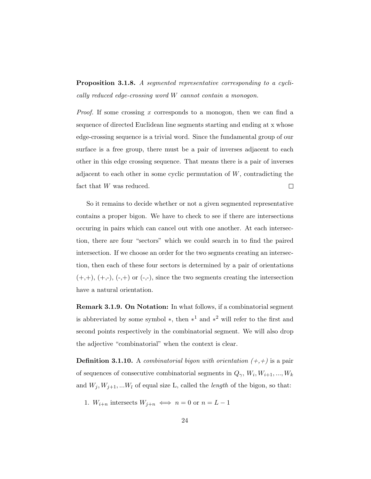**Proposition 3.1.8.** *A segmented representative corresponding to a cyclically reduced edge-crossing word W cannot contain a monogon.*

*Proof.* If some crossing *x* corresponds to a monogon, then we can find a sequence of directed Euclidean line segments starting and ending at x whose edge-crossing sequence is a trivial word. Since the fundamental group of our surface is a free group, there must be a pair of inverses adjacent to each other in this edge crossing sequence. That means there is a pair of inverses adjacent to each other in some cyclic permutation of *W*, contradicting the fact that *W* was reduced.  $\Box$ 

So it remains to decide whether or not a given segmented representative contains a proper bigon. We have to check to see if there are intersections occuring in pairs which can cancel out with one another. At each intersection, there are four "sectors" which we could search in to find the paired intersection. If we choose an order for the two segments creating an intersection, then each of these four sectors is determined by a pair of orientations  $(+,+)$ ,  $(+,-)$ ,  $(-,+)$  or  $(-,-)$ , since the two segments creating the intersection have a natural orientation.

**Remark 3.1.9. On Notation:** In what follows, if a combinatorial segment is abbreviated by some symbol *∗*, then *∗* <sup>1</sup> and *∗* <sup>2</sup> will refer to the first and second points respectively in the combinatorial segment. We will also drop the adjective "combinatorial" when the context is clear.

**Definition 3.1.10.** A *combinatorial bigon with orientation*  $(+,+)$  is a pair of sequences of consecutive combinatorial segments in  $Q_{\gamma}$ ,  $W_i$ ,  $W_{i+1}$ , ...,  $W_k$ and  $W_j$ ,  $W_{j+1}$ , ... $W_l$  of equal size L, called the *length* of the bigon, so that:

1.  $W_{i+n}$  intersects  $W_{i+n} \iff n = 0$  or  $n = L - 1$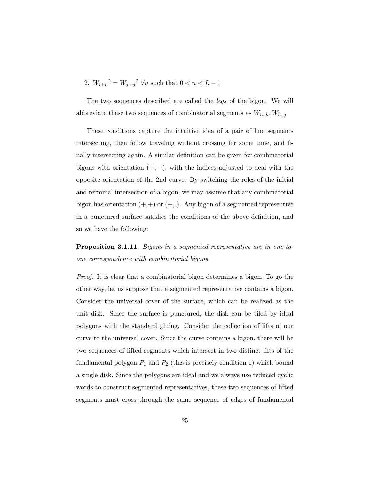2. 
$$
W_{i+n}^2 = W_{j+n}^2 \,\forall n
$$
 such that  $0 < n < L - 1$ 

The two sequences described are called the *legs* of the bigon. We will abbreviate these two sequences of combinatorial segments as *Wi...k, Wl...j*

These conditions capture the intuitive idea of a pair of line segments intersecting, then fellow traveling without crossing for some time, and finally intersecting again. A similar definition can be given for combinatorial bigons with orientation (+*, −*), with the indices adjusted to deal with the opposite orientation of the 2nd curve. By switching the roles of the initial and terminal intersection of a bigon, we may assume that any combinatorial bigon has orientation  $(+,+)$  or  $(+,-)$ . Any bigon of a segmented representive in a punctured surface satisfies the conditions of the above definition, and so we have the following:

**Proposition 3.1.11.** *Bigons in a segmented representative are in one-toone correspondence with combinatorial bigons*

*Proof.* It is clear that a combinatorial bigon determines a bigon. To go the other way, let us suppose that a segmented representative contains a bigon. Consider the universal cover of the surface, which can be realized as the unit disk. Since the surface is punctured, the disk can be tiled by ideal polygons with the standard gluing. Consider the collection of lifts of our curve to the universal cover. Since the curve contains a bigon, there will be two sequences of lifted segments which intersect in two distinct lifts of the fundamental polygon  $P_1$  and  $P_2$  (this is precisely condition 1) which bound a single disk. Since the polygons are ideal and we always use reduced cyclic words to construct segmented representatives, these two sequences of lifted segments must cross through the same sequence of edges of fundamental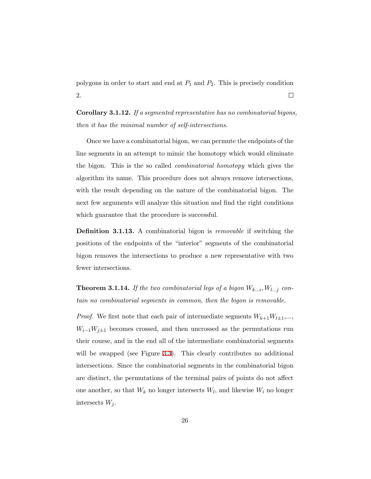polygons in order to start and end at *P*<sup>1</sup> and *P*2. This is precisely condition 2.  $\Box$ 

**Corollary 3.1.12.** *If a segmented representative has no combinatorial bigons, then it has the minimal number of self-intersections.*

Once we have a combinatorial bigon, we can permute the endpoints of the line segments in an attempt to mimic the homotopy which would eliminate the bigon. This is the so called *combinatorial homotopy* which gives the algorithm its name. This procedure does not always remove intersections, with the result depending on the nature of the combinatorial bigon. The next few arguments will analyze this situation and find the right conditions which guarantee that the procedure is successful.

**Definition 3.1.13.** A combinatorial bigon is *removable* if switching the positions of the endpoints of the "interior" segments of the combinatorial bigon removes the intersections to produce a new representative with two fewer intersections.

**Theorem 3.1.14.** If the two combinatorial legs of a bigon  $W_{k...i}$ ,  $W_{l...j}$  con*tain no combinatorial segments in common, then the bigon is removable.*

*Proof.* We first note that each pair of intermediate segments  $W_{k+1}W_{l+1},\ldots$ *W*<sub>*i*</sub><sup>−1</sup>*W*<sup>*j*<sup>±1</sup> becomes crossed, and then uncrossed as the permutations run</sup> their course, and in the end all of the intermediate combinatorial segments will be swapped (see Figure [3.3\)](#page-32-0). This clearly contributes no additional intersections. Since the combinatorial segments in the combinatorial bigon are distinct, the permutations of the terminal pairs of points do not affect one another, so that  $W_k$  no longer intersects  $W_l$ , and likewise  $W_i$  no longer intersects *W<sup>j</sup>* .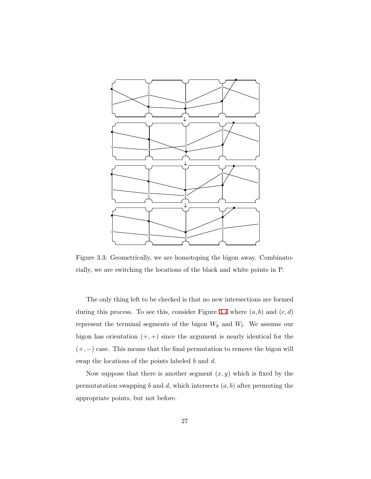<span id="page-32-0"></span>

Figure 3.3: Geometrically, we are homotoping the bigon away. Combinatorially, we are switching the locations of the black and white points in P.

The only thing left to be checked is that no new intersections are formed during this process. To see this, consider Figure [3.4](#page-33-0) where  $(a, b)$  and  $(c, d)$ represent the terminal segments of the bigon *W<sup>k</sup>* and *W<sup>l</sup>* . We assume our bigon has orientation (+*,* +) since the argument is nearly identical for the (+*, <sup>−</sup>*) case. This means that the final permutation to remove the bigon will swap the locations of the points labeled *b* and *d*.

Now suppose that there is another segment  $(x, y)$  which is fixed by the permutatation swapping  $b$  and  $d$ , which intersects  $(a, b)$  after permuting the appropriate points, but not before.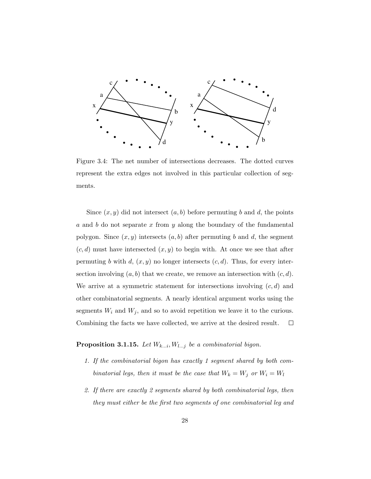<span id="page-33-0"></span>

Figure 3.4: The net number of intersections decreases. The dotted curves represent the extra edges not involved in this particular collection of segments.

Since  $(x, y)$  did not intersect  $(a, b)$  before permuting *b* and *d*, the points *a* and *b* do not separate *x* from *y* along the boundary of the fundamental polygon. Since  $(x, y)$  intersects  $(a, b)$  after permuting *b* and *d*, the segment  $(c, d)$  must have intersected  $(x, y)$  to begin with. At once we see that after permuting *b* with  $d$ ,  $(x, y)$  no longer intersects  $(c, d)$ . Thus, for every intersection involving  $(a, b)$  that we create, we remove an intersection with  $(c, d)$ . We arrive at a symmetric statement for intersections involving (*c, d*) and other combinatorial segments. A nearly identical argument works using the segments  $W_i$  and  $W_j$ , and so to avoid repetition we leave it to the curious. Combining the facts we have collected, we arrive at the desired result.  $\Box$ 

### **Proposition 3.1.15.** *Let Wk...i, Wl...j be a combinatorial bigon.*

- *1. If the combinatorial bigon has exactly 1 segment shared by both combinatorial legs, then it must be the case that*  $W_k = W_j$  *or*  $W_i = W_l$
- *2. If there are exactly 2 segments shared by both combinatorial legs, then they must either be the first two segments of one combinatorial leg and*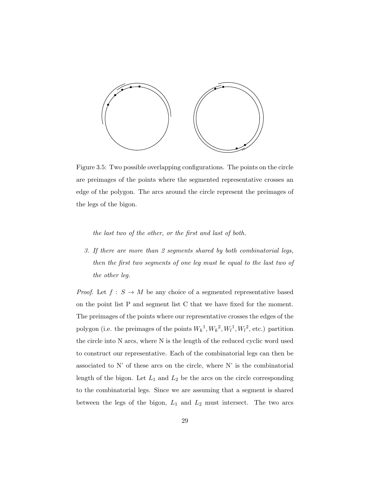<span id="page-34-0"></span>

Figure 3.5: Two possible overlapping configurations. The points on the circle are preimages of the points where the segmented representative crosses an edge of the polygon. The arcs around the circle represent the preimages of the legs of the bigon.

*the last two of the other, or the first and last of both.*

*3. If there are more than 2 segments shared by both combinatorial legs, then the first two segments of one leg must be equal to the last two of the other leg.*

*Proof.* Let  $f : S \to M$  be any choice of a segmented representative based on the point list P and segment list C that we have fixed for the moment. The preimages of the points where our representative crosses the edges of the polygon (i.e. the preimages of the points  $W_k^1, W_k^2, W_l^1, W_l^2$ , etc.) partition the circle into N arcs, where N is the length of the reduced cyclic word used to construct our representative. Each of the combinatorial legs can then be associated to  $N'$  of these arcs on the circle, where  $N'$  is the combinatorial length of the bigon. Let  $L_1$  and  $L_2$  be the arcs on the circle corresponding to the combinatorial legs. Since we are assuming that a segment is shared between the legs of the bigon, *L*<sup>1</sup> and *L*<sup>2</sup> must intersect. The two arcs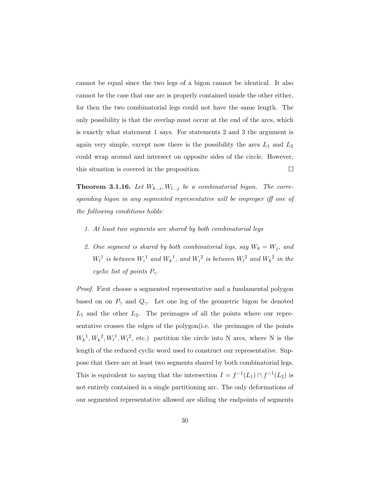cannot be equal since the two legs of a bigon cannot be identical. It also cannot be the case that one arc is properly contained inside the other either, for then the two combinatorial legs could not have the same length. The only possibility is that the overlap must occur at the end of the arcs, which is exactly what statement 1 says. For statements 2 and 3 the argument is again very simple, except now there is the possibility the arcs *L*<sup>1</sup> and *L*<sup>2</sup> could wrap around and intersect on opposite sides of the circle. However,  $\Box$ this situation is covered in the proposition.

**Theorem 3.1.16.** Let  $W_{k...i}$ ,  $W_{l...j}$  be a combinatorial bigon. The corre*sponding bigon in any segmented representative will be improper iff one of the following conditions holds:*

- *1. At least two segments are shared by both combinatorial legs*
- 2. One segment is shared by both combinatorial legs, say  $W_k = W_j$ , and  $W_l$ <sup>1</sup> is between  $W_i$ <sup>1</sup> and  $W_k$ <sup>1</sup>, and  $W_i$ <sup>2</sup> is between  $W_l$ <sup>2</sup> and  $W_k$ <sup>2</sup> in the *cyclic list of points Pγ.*

*Proof.* First choose a segmented representative and a fundamental polygon based on on  $P_\gamma$  and  $Q_\gamma$ . Let one leg of the geometric bigon be denoted *L*<sup>1</sup> and the other *L*2. The preimages of all the points where our representative crosses the edges of the polygon(i.e. the preimages of the points  $W_k^1, W_k^2, W_l^1, W_l^2$ , etc.) partition the circle into N arcs, where N is the length of the reduced cyclic word used to construct our representative. Suppose that there are at least two segments shared by both combinatorial legs. This is equivalent to saying that the intersection  $I = f^{-1}(L_1) \cap f^{-1}(L_2)$  is not entirely contained in a single partitioning arc. The only deformations of our segmented representative allowed are sliding the endpoints of segments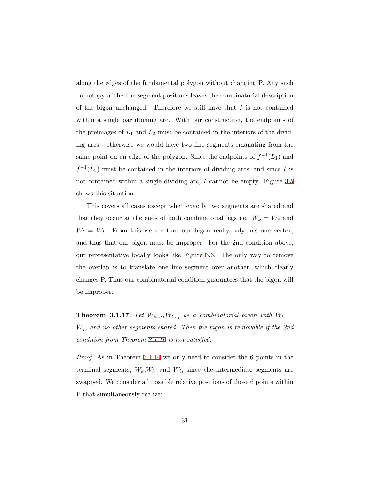along the edges of the fundamental polygon without changing P. Any such homotopy of the line segment positions leaves the combinatorial description of the bigon unchanged. Therefore we still have that *I* is not contained within a single partitioning arc. With our construction, the endpoints of the preimages of *L*<sup>1</sup> and *L*<sup>2</sup> must be contained in the interiors of the dividing arcs - otherwise we would have two line segments emanating from the same point on an edge of the polygon. Since the endpoints of  $f^{-1}(L_1)$  and  $f^{-1}(L_2)$  must be contained in the interiors of dividing arcs, and since *I* is not contained within a single dividing arc, *I* cannot be empty. Figure [3.5](#page-34-0) shows this situation.

This covers all cases except when exactly two segments are shared and that they occur at the ends of both combinatorial legs i.e.  $W_k = W_j$  and  $W_i = W_l$ . From this we see that our bigon really only has one vertex, and thus that our bigon must be improper. For the 2nd condition above, our representative locally looks like Figure [3.6](#page-37-0). The only way to remove the overlap is to translate one line segment over another, which clearly changes P. Thus our combinatorial condition guarantees that the bigon will be improper.  $\Box$ 

<span id="page-36-0"></span>**Theorem 3.1.17.** Let  $W_{k...i}$ ,  $W_{l...j}$  be a combinatorial bigon with  $W_k =$ *W<sup>j</sup> , and no other segments shared. Then the bigon is removable if the 2nd condition from Theorem [3.1.16](#page-35-0) is not satisfied.*

*Proof.* As in Theorem [3.1.14](#page-31-0) we only need to consider the 6 points in the terminal segments,  $W_k, W_l$ , and  $W_i$ , since the intermediate segments are swapped. We consider all possible relative positions of those 6 points within P that simultaneously realize: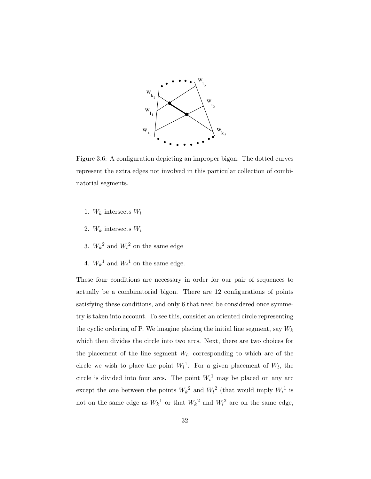<span id="page-37-0"></span>

Figure 3.6: A configuration depicting an improper bigon. The dotted curves represent the extra edges not involved in this particular collection of combinatorial segments.

- 1.  $W_k$  intersects  $W_l$
- 2. *W<sup>k</sup>* intersects *W<sup>i</sup>*
- 3.  $W_k^2$  and  $W_l^2$  on the same edge
- 4.  $W_k^1$  and  $W_i^1$  on the same edge.

These four conditions are necessary in order for our pair of sequences to actually be a combinatorial bigon. There are 12 configurations of points satisfying these conditions, and only 6 that need be considered once symmetry is taken into account. To see this, consider an oriented circle representing the cyclic ordering of P. We imagine placing the initial line segment, say *W<sup>k</sup>* which then divides the circle into two arcs. Next, there are two choices for the placement of the line segment  $W_l$ , corresponding to which arc of the circle we wish to place the point  $W_l^1$ . For a given placement of  $W_l$ , the circle is divided into four arcs. The point  $W_i^1$  may be placed on any arc except the one between the points  $W_k^2$  and  $W_l^2$  (that would imply  $W_l^1$  is not on the same edge as  $W_k^1$  or that  $W_k^2$  and  $W_l^2$  are on the same edge,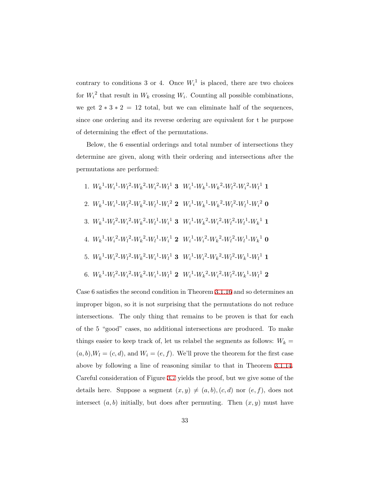contrary to conditions 3 or 4. Once  $W_i^1$  is placed, there are two choices for  $W_i^2$  that result in  $W_k$  crossing  $W_i$ . Counting all possible combinations, we get  $2 * 3 * 2 = 12$  total, but we can eliminate half of the sequences, since one ordering and its reverse ordering are equivalent for t he purpose of determining the effect of the permutations.

Below, the 6 essential orderings and total number of intersections they determine are given, along with their ordering and intersections after the permutations are performed:

1. 
$$
W_k^1 - W_i^1 - W_i^2 - W_k^2 - W_i^2 - W_i^1
$$
 3  $W_i^1 - W_k^1 - W_k^2 - W_i^2 - W_i^2 - W_i^1$  1  
\n2.  $W_k^1 - W_i^1 - W_i^2 - W_k^2 - W_i^1 - W_i^2$  2  $W_i^1 - W_k^1 - W_k^2 - W_i^2 - W_i^1 - W_i^2$  0  
\n3.  $W_k^1 - W_i^2 - W_i^2 - W_k^2 - W_i^1 - W_i^1$  3  $W_i^1 - W_k^2 - W_i^2 - W_i^2 - W_i^1 - W_k^1$  1  
\n4.  $W_k^1 - W_i^2 - W_i^2 - W_k^2 - W_i^1 - W_i^1$  2  $W_i^1 - W_i^2 - W_k^2 - W_i^2 - W_i^1 - W_k^1$  0  
\n5.  $W_k^1 - W_i^2 - W_k^2 - W_k^1 - W_i^1$  3  $W_i^1 - W_i^2 - W_k^2 - W_i^2 - W_k^1 - W_i^1$  1  
\n6.  $W_k^1 - W_i^2 - W_k^2 - W_k^1 - W_i^1$  2  $W_i^1 - W_k^2 - W_i^2 - W_i^2 - W_k^1 - W_i^1$  2

Case 6 satisfies the second condition in Theorem [3.1.16](#page-35-0) and so determines an improper bigon, so it is not surprising that the permutations do not reduce intersections. The only thing that remains to be proven is that for each of the 5 "good" cases, no additional intersections are produced. To make things easier to keep track of, let us relabel the segments as follows:  $W_k =$  $(a, b), W_l = (c, d)$ , and  $W_i = (e, f)$ . We'll prove the theorem for the first case above by following a line of reasoning similar to that in Theorem [3.1.14](#page-31-0). Careful consideration of Figure [3.7](#page-40-0) yields the proof, but we give some of the details here. Suppose a segment  $(x, y) \neq (a, b), (c, d)$  nor  $(e, f)$ , does not intersect  $(a, b)$  initially, but does after permuting. Then  $(x, y)$  must have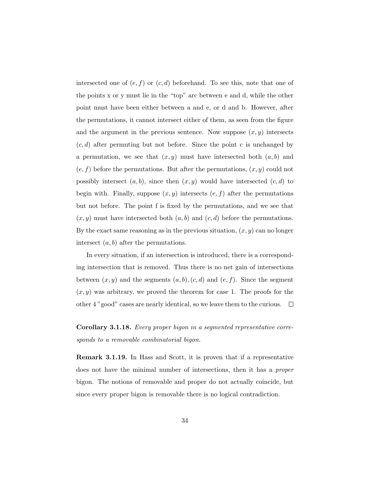intersected one of  $(e, f)$  or  $(c, d)$  beforehand. To see this, note that one of the points x or y must lie in the "top" arc between e and d, while the other point must have been either between a and e, or d and b. However, after the permutations, it cannot intersect either of them, as seen from the figure and the argument in the previous sentence. Now suppose  $(x, y)$  intersects  $(c, d)$  after permuting but not before. Since the point c is unchanged by a permutation, we see that  $(x, y)$  must have intersected both  $(a, b)$  and  $(e, f)$  before the permutations. But after the permutations,  $(x, y)$  could not possibly intersect  $(a, b)$ , since then  $(x, y)$  would have intersected  $(c, d)$  to begin with. Finally, suppose  $(x, y)$  intersects  $(e, f)$  after the permutations but not before. The point f is fixed by the permutations, and we see that  $(x, y)$  must have intersected both  $(a, b)$  and  $(c, d)$  before the permutations. By the exact same reasoning as in the previous situation,  $(x, y)$  can no longer intersect (*a, b*) after the permutations.

In every situation, if an intersection is introduced, there is a corresponding intersection that is removed. Thus there is no net gain of intersections between  $(x, y)$  and the segments  $(a, b), (c, d)$  and  $(e, f)$ . Since the segment  $(x, y)$  was arbitrary, we proved the theorem for case 1. The proofs for the other 4 "good" cases are nearly identical, so we leave them to the curious.  $\Box$ 

**Corollary 3.1.18.** *Every proper bigon in a segmented representative corresponds to a removable combinatorial bigon.*

**Remark 3.1.19.** In Hass and Scott, it is proven that if a representative does not have the minimal number of intersections, then it has a *proper* bigon. The notions of removable and proper do not actually coincide, but since every proper bigon is removable there is no logical contradiction.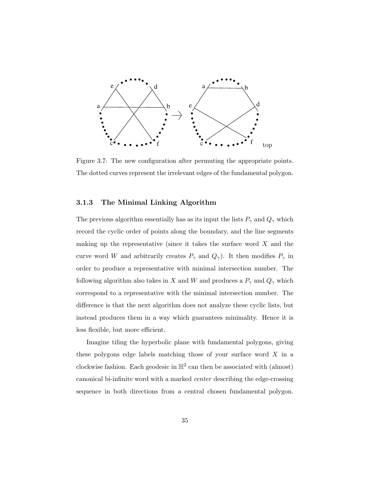<span id="page-40-0"></span>

Figure 3.7: The new configuration after permuting the appropriate points. The dotted curves represent the irrelevant edges of the fundamental polygon.

#### **3.1.3 The Minimal Linking Algorithm**

The previous algorithm essentially has as its input the lists  $P_\gamma$  and  $Q_\gamma$  which record the cyclic order of points along the boundary, and the line segments making up the representative (since it takes the surface word *X* and the curve word *W* and arbitrarily creates  $P_\gamma$  and  $Q_\gamma$ ). It then modifies  $P_\gamma$  in order to produce a representative with minimal intersection number. The following algorithm also takes in *X* and *W* and produces a  $P_{\gamma}$  and  $Q_{\gamma}$  which correspond to a representative with the minimal intersection number. The difference is that the next algorithm does not analyze these cyclic lists, but instead produces them in a way which guarantees minimality. Hence it is less flexible, but more efficient.

Imagine tiling the hyperbolic plane with fundamental polygons, giving these polygons edge labels matching those of your surface word *X* in a clockwise fashion. Each geodesic in  $\mathbb{H}^2$  can then be associated with (almost) canonical bi-infinite word with a marked *center* describing the edge-crossing sequence in both directions from a central chosen fundamental polygon.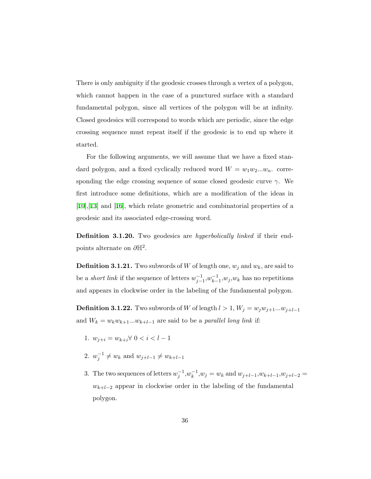There is only ambiguity if the geodesic crosses through a vertex of a polygon, which cannot happen in the case of a punctured surface with a standard fundamental polygon, since all vertices of the polygon will be at infinity. Closed geodesics will correspond to words which are periodic, since the edge crossing sequence must repeat itself if the geodesic is to end up where it started.

For the following arguments, we will assume that we have a fixed standard polygon, and a fixed cyclically reduced word  $W = w_1w_2...w_n$ . corresponding the edge crossing sequence of some closed geodesic curve *γ*. We first introduce some definitions, which are a modification of the ideas in [[10\]](#page-85-0),[[13\]](#page-85-1) and [\[16](#page-85-2)], which relate geometric and combinatorial properties of a geodesic and its associated edge-crossing word.

**Definition 3.1.20.** Two geodesics are *hyperbolically linked* if their endpoints alternate on *∂*H<sup>2</sup> .

**Definition 3.1.21.** Two subwords of *W* of length one,  $w_j$  and  $w_k$ , are said to be a *short link* if the sequence of letters  $w_{j-1}^{-1}, w_{k-1}^{-1}$  $\binom{−1}{k-1}$ , *w*<sub>*j*</sub>, *w*<sub>*k*</sub> has no repetitions and appears in clockwise order in the labeling of the fundamental polygon.

**Definition 3.1.22.** Two subwords of *W* of length  $l > 1$ ,  $W_j = w_j w_{j+1}...w_{j+l-1}$ and  $W_k = w_k w_{k+1} \dots w_{k+l-1}$  are said to be a *parallel long link* if:

- 1.  $w_{j+i} = w_{k+i}$ ∀ 0 < *i* < *l* − 1
- 2.  $w_j^{-1} \neq w_k$  and  $w_{j+l-1} \neq w_{k+l-1}$
- 3. The two sequences of letters  $w_j^{-1}, w_k^{-1}, w_j = w_k$  and  $w_{j+l-1}, w_{k+l-1}, w_{j+l-2} =$  $w_{k+l-2}$  appear in clockwise order in the labeling of the fundamental polygon.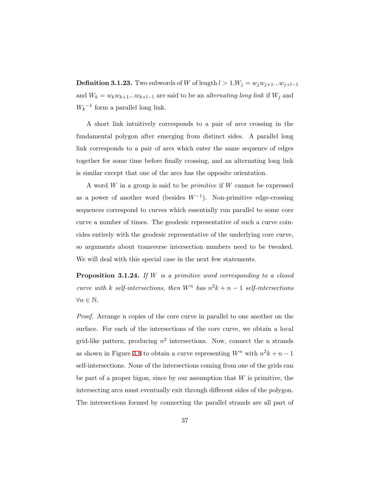**Definition 3.1.23.** Two subwords of *W* of length  $l > 1, W_j = w_jw_{j+1}...w_{j+l-1}$ and  $W_k = w_k w_{k+1} ... w_{k+l-1}$  are said to be an *alternating long link* if  $W_j$  and  $W_k^{-1}$  form a parallel long link.

A short link intuitively corresponds to a pair of arcs crossing in the fundamental polygon after emerging from distinct sides. A parallel long link corresponds to a pair of arcs which enter the same sequence of edges together for some time before finally crossing, and an alternating long link is similar except that one of the arcs has the opposite orientation.

A word *W* in a group is said to be *primitive* if *W* cannot be expressed as a power of another word (besides *W−*<sup>1</sup> ). Non-primitive edge-crossing sequences correspond to curves which essentially run parallel to some core curve a number of times. The geodesic representative of such a curve coincides entirely with the geodesic representative of the underlying core curve, so arguments about transverse intersection numbers need to be tweaked. We will deal with this special case in the next few statements.

**Proposition 3.1.24.** *If W is a primitive word corresponding to a closed curve with k self-intersections, then*  $W^n$  *has*  $n^2k + n - 1$  *self-intersections ∀n ∈* N*.*

*Proof.* Arrange n copies of the core curve in parallel to one another on the surface. For each of the intersections of the core curve, we obtain a local grid-like pattern, producing  $n^2$  intersections. Now, connect the n strands as shown in Figure [3.8](#page-43-0) to obtain a curve representing  $W^n$  with  $n^2k + n - 1$ self-intersections. None of the intersections coming from one of the grids can be part of a proper bigon, since by our assumption that *W* is primitive, the intersecting arcs must eventually exit through different sides of the polygon. The intersections formed by connecting the parallel strands are all part of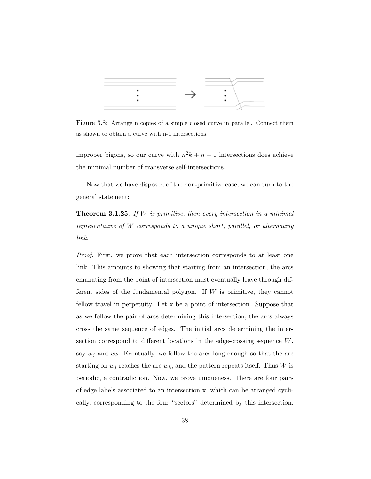<span id="page-43-0"></span>

Figure 3.8: Arrange n copies of a simple closed curve in parallel. Connect them as shown to obtain a curve with n-1 intersections.

improper bigons, so our curve with  $n^2k + n - 1$  intersections does achieve the minimal number of transverse self-intersections.  $\Box$ 

Now that we have disposed of the non-primitive case, we can turn to the general statement:

**Theorem 3.1.25.** *If W is primitive, then every intersection in a minimal representative of W corresponds to a unique short, parallel, or alternating link.*

*Proof.* First, we prove that each intersection corresponds to at least one link. This amounts to showing that starting from an intersection, the arcs emanating from the point of intersection must eventually leave through different sides of the fundamental polygon. If *W* is primitive, they cannot fellow travel in perpetuity. Let x be a point of intersection. Suppose that as we follow the pair of arcs determining this intersection, the arcs always cross the same sequence of edges. The initial arcs determining the intersection correspond to different locations in the edge-crossing sequence *W*, say  $w_j$  and  $w_k$ . Eventually, we follow the arcs long enough so that the arc starting on  $w_j$  reaches the arc  $w_k$ , and the pattern repeats itself. Thus *W* is periodic, a contradiction. Now, we prove uniqueness. There are four pairs of edge labels associated to an intersection x, which can be arranged cyclically, corresponding to the four "sectors" determined by this intersection.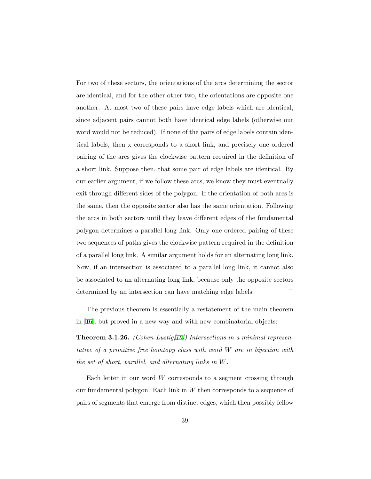For two of these sectors, the orientations of the arcs determining the sector are identical, and for the other other two, the orientations are opposite one another. At most two of these pairs have edge labels which are identical, since adjacent pairs cannot both have identical edge labels (otherwise our word would not be reduced). If none of the pairs of edge labels contain identical labels, then x corresponds to a short link, and precisely one ordered pairing of the arcs gives the clockwise pattern required in the definition of a short link. Suppose then, that some pair of edge labels are identical. By our earlier argument, if we follow these arcs, we know they must eventually exit through different sides of the polygon. If the orientation of both arcs is the same, then the opposite sector also has the same orientation. Following the arcs in both sectors until they leave different edges of the fundamental polygon determines a parallel long link. Only one ordered pairing of these two sequences of paths gives the clockwise pattern required in the definition of a parallel long link. A similar argument holds for an alternating long link. Now, if an intersection is associated to a parallel long link, it cannot also be associated to an alternating long link, because only the opposite sectors determined by an intersection can have matching edge labels.  $\Box$ 

The previous theorem is essentially a restatement of the main theorem in[[16](#page-85-2)], but proved in a new way and with new combinatorial objects:

**Theorem 3.1.26.** *(Cohen-Lustig[[16\]](#page-85-2)) Intersections in a minimal representative of a primitive free homtopy class with word W are in bijection with the set of short, parallel, and alternating links in W.*

Each letter in our word *W* corresponds to a segment crossing through our fundamental polygon. Each link in *W* then corresponds to a sequence of pairs of segments that emerge from distinct edges, which then possibly fellow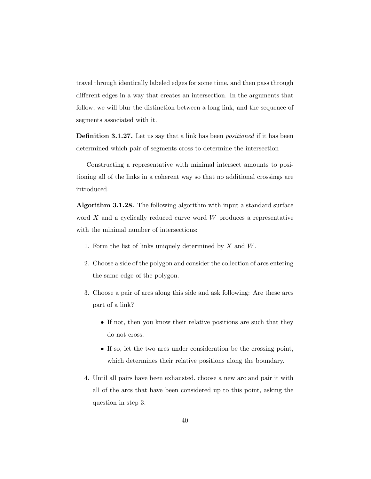travel through identically labeled edges for some time, and then pass through different edges in a way that creates an intersection. In the arguments that follow, we will blur the distinction between a long link, and the sequence of segments associated with it.

**Definition 3.1.27.** Let us say that a link has been *positioned* if it has been determined which pair of segments cross to determine the intersection

Constructing a representative with minimal intersect amounts to positioning all of the links in a coherent way so that no additional crossings are introduced.

**Algorithm 3.1.28.** The following algorithm with input a standard surface word *X* and a cyclically reduced curve word *W* produces a representative with the minimal number of intersections:

- 1. Form the list of links uniquely determined by *X* and *W*.
- 2. Choose a side of the polygon and consider the collection of arcs entering the same edge of the polygon.
- 3. Choose a pair of arcs along this side and ask following: Are these arcs part of a link?
	- If not, then you know their relative positions are such that they do not cross.
	- *•* If so, let the two arcs under consideration be the crossing point, which determines their relative positions along the boundary.
- 4. Until all pairs have been exhausted, choose a new arc and pair it with all of the arcs that have been considered up to this point, asking the question in step 3.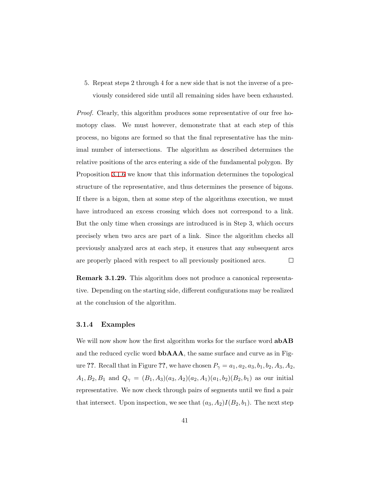5. Repeat steps 2 through 4 for a new side that is not the inverse of a previously considered side until all remaining sides have been exhausted.

*Proof.* Clearly, this algorithm produces some representative of our free homotopy class. We must however, demonstrate that at each step of this process, no bigons are formed so that the final representative has the minimal number of intersections. The algorithm as described determines the relative positions of the arcs entering a side of the fundamental polygon. By Proposition [3.1.6](#page-28-0) we know that this information determines the topological structure of the representative, and thus determines the presence of bigons. If there is a bigon, then at some step of the algorithms execution, we must have introduced an excess crossing which does not correspond to a link. But the only time when crossings are introduced is in Step 3, which occurs precisely when two arcs are part of a link. Since the algorithm checks all previously analyzed arcs at each step, it ensures that any subsequent arcs are properly placed with respect to all previously positioned arcs.  $\Box$ 

**Remark 3.1.29.** This algorithm does not produce a canonical representative. Depending on the starting side, different configurations may be realized at the conclusion of the algorithm.

#### **3.1.4 Examples**

We will now show how the first algorithm works for the surface word **abAB** and the reduced cyclic word **bbAAA**, the same surface and curve as in Figure ??. Recall that in Figure ??, we have chosen  $P_{\gamma} = a_1, a_2, a_3, b_1, b_2, A_3, A_2$ , *A*<sub>1</sub>*, B*<sub>2</sub>*, B*<sub>1</sub> and  $Q_γ = (B_1, A_3)(a_3, A_2)(a_2, A_1)(a_1, b_2)(B_2, b_1)$  as our initial representative. We now check through pairs of segments until we find a pair that intersect. Upon inspection, we see that  $(a_3, A_2)I(B_2, b_1)$ . The next step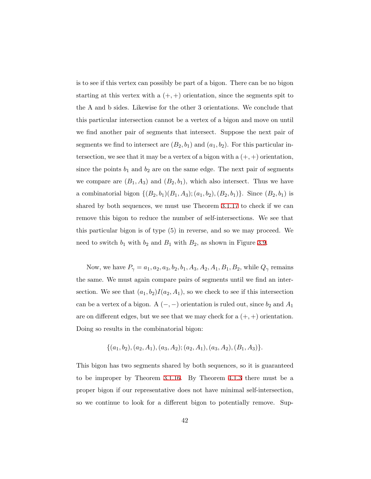is to see if this vertex can possibly be part of a bigon. There can be no bigon starting at this vertex with a  $(+, +)$  orientation, since the segments spit to the A and b sides. Likewise for the other 3 orientations. We conclude that this particular intersection cannot be a vertex of a bigon and move on until we find another pair of segments that intersect. Suppose the next pair of segments we find to intersect are  $(B_2, b_1)$  and  $(a_1, b_2)$ . For this particular intersection, we see that it may be a vertex of a bigon with a (+*,* +) orientation, since the points  $b_1$  and  $b_2$  are on the same edge. The next pair of segments we compare are  $(B_1, A_3)$  and  $(B_2, b_1)$ , which also intersect. Thus we have a combinatorial bigon  $\{(B_2, b_1)(B_1, A_3); (a_1, b_2), (B_2, b_1)\}$ . Since  $(B_2, b_1)$  is shared by both sequences, we must use Theorem [3.1.17](#page-36-0) to check if we can remove this bigon to reduce the number of self-intersections. We see that this particular bigon is of type (5) in reverse, and so we may proceed. We need to switch  $b_1$  with  $b_2$  and  $B_1$  with  $B_2$ , as shown in Figure [3.9](#page-48-0).

Now, we have  $P_\gamma = a_1, a_2, a_3, b_2, b_1, A_3, A_2, A_1, B_1, B_2$ , while  $Q_\gamma$  remains the same. We must again compare pairs of segments until we find an intersection. We see that  $(a_1, b_2)I(a_2, A_1)$ , so we check to see if this intersection can be a vertex of a bigon. A  $(-, -)$  orientation is ruled out, since  $b_2$  and  $A_1$ are on different edges, but we see that we may check for a (+*,* +) orientation. Doing so results in the combinatorial bigon:

$$
\{(a_1,b_2), (a_2,A_1), (a_3,A_2); (a_2,A_1), (a_3,A_2), (B_1,A_3)\}.
$$

This bigon has two segments shared by both sequences, so it is guaranteed to be improper by Theorem [3.1.16.](#page-35-0) By Theorem [4.1.3](#page-57-0) there must be a proper bigon if our representative does not have minimal self-intersection, so we continue to look for a different bigon to potentially remove. Sup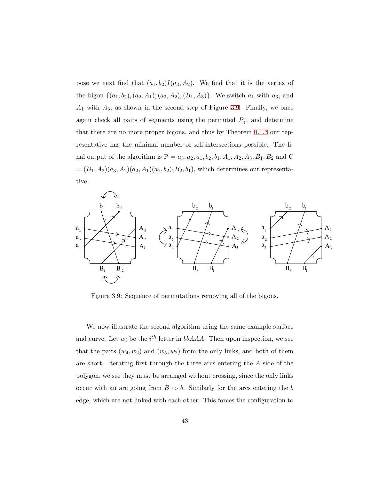pose we next find that  $(a_1, b_2)I(a_3, A_2)$ . We find that it is the vertex of the bigon  $\{(a_1, b_2), (a_2, A_1); (a_3, A_2), (B_1, A_3)\}$ . We switch  $a_1$  with  $a_3$ , and *A*<sup>1</sup> with *A*3, as shown in the second step of Figure [3.9.](#page-48-0) Finally, we once again check all pairs of segments using the permuted  $P_{\gamma}$ , and determine that there are no more proper bigons, and thus by Theorem [4.1.3](#page-57-0) our representative has the minimal number of self-intersections possible. The final output of the algorithm is  $P = a_3, a_2, a_1, b_2, b_1, A_1, A_2, A_3, B_1, B_2$  and C  $=(B_1, A_3)(a_3, A_2)(a_2, A_1)(a_1, b_2)(B_2, b_1)$ , which determines our representative.

<span id="page-48-0"></span>

Figure 3.9: Sequence of permutations removing all of the bigons.

We now illustrate the second algorithm using the same example surface and curve. Let  $w_i$  be the  $i^{th}$  letter in  $bbA A$ . Then upon inspection, we see that the pairs  $(w_4, w_2)$  and  $(w_5, w_2)$  form the only links, and both of them are short. Iterating first through the three arcs entering the *A* side of the polygon, we see they must be arranged without crossing, since the only links occur with an arc going from *<sup>B</sup>* to *b*. Similarly for the arcs entering the *b* edge, which are not linked with each other. This forces the configuration to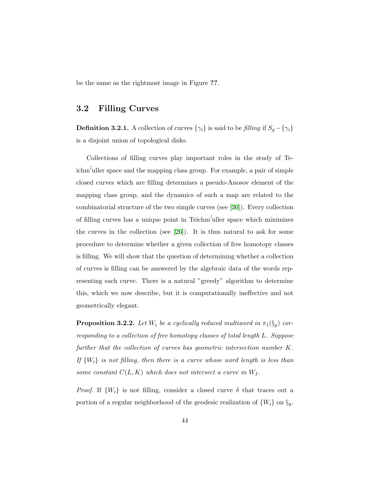be the same as the rightmost image in Figure **??**.

#### **3.2 Filling Curves**

**Definition 3.2.1.** A collection of curves  $\{\gamma_i\}$  is said to be *filling* if  $S_g - \{\gamma_i\}$ is a disjoint union of topological disks.

Collections of filling curves play important roles in the study of Teichm´'uller space and the mapping class group. For example, a pair of simple closed curves which are filling determines a pseudo-Anosov element of the mapping class group, and the dynamics of such a map are related to the combinatorial structure of the two simple curves (see[[36\]](#page-87-0)). Every collection of filling curves has a unique point in Teichm´'uller space which minimizes the curves in the collection (see[[26](#page-86-0)]). It is thus natural to ask for some procedure to determine whether a given collection of free homotopy classes is filling. We will show that the question of determining whether a collection of curves is filling can be answered by the algebraic data of the words representing each curve. There is a natural "greedy" algorithm to determine this, which we now describe, but it is computationally ineffective and not geometrically elegant.

**Proposition 3.2.2.** *Let*  $W_i$  *be a cyclically reduced multiword in*  $\pi_1(\S_g)$  *corresponding to a collection of free homotopy classes of total length L. Suppose further that the collection of curves has geometric intersection number K.* If  ${W_i}$  *is not filling, then there is a curve whose word length is less than some constant*  $C(L, K)$  *which does not intersect a curve in*  $W_I$ .

*Proof.* If  $\{W_i\}$  is not filling, consider a closed curve  $\delta$  that traces out a portion of a regular neighborhood of the geodesic realization of  $\{W_i\}$  on  $\S_g$ .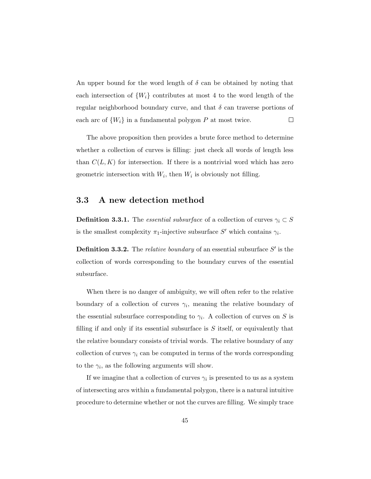An upper bound for the word length of  $\delta$  can be obtained by noting that each intersection of  $\{W_i\}$  contributes at most 4 to the word length of the regular neighborhood boundary curve, and that *δ* can traverse portions of each arc of  $\{W_i\}$  in a fundamental polygon  $P$  at most twice.  $\Box$ 

The above proposition then provides a brute force method to determine whether a collection of curves is filling: just check all words of length less than  $C(L, K)$  for intersection. If there is a nontrivial word which has zero geometric intersection with  $W_i$ , then  $W_i$  is obviously not filling.

#### **3.3 A new detection method**

**Definition 3.3.1.** The *essential subsurface* of a collection of curves  $\gamma_i \subset S$ is the smallest complexity  $\pi_1$ -injective subsurface *S'* which contains  $\gamma_i$ .

**Definition 3.3.2.** The *relative boundary* of an essential subsurface *S ′* is the collection of words corresponding to the boundary curves of the essential subsurface.

When there is no danger of ambiguity, we will often refer to the relative boundary of a collection of curves  $\gamma_i$ , meaning the relative boundary of the essential subsurface corresponding to  $\gamma_i$ . A collection of curves on *S* is filling if and only if its essential subsurface is *S* itself, or equivalently that the relative boundary consists of trivial words. The relative boundary of any collection of curves  $\gamma_i$  can be computed in terms of the words corresponding to the  $\gamma_i$ , as the following arguments will show.

If we imagine that a collection of curves  $\gamma_i$  is presented to us as a system of intersecting arcs within a fundamental polygon, there is a natural intuitive procedure to determine whether or not the curves are filling. We simply trace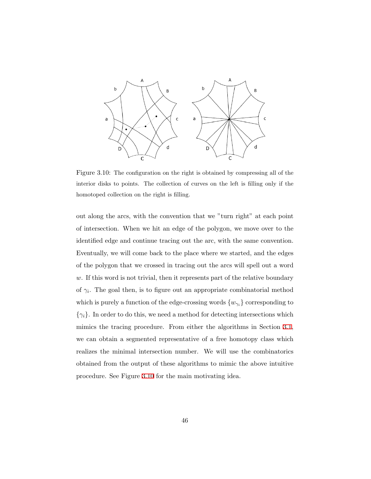<span id="page-51-0"></span>

Figure 3.10: The configuration on the right is obtained by compressing all of the interior disks to points. The collection of curves on the left is filling only if the homotoped collection on the right is filling.

out along the arcs, with the convention that we "turn right" at each point of intersection. When we hit an edge of the polygon, we move over to the identified edge and continue tracing out the arc, with the same convention. Eventually, we will come back to the place where we started, and the edges of the polygon that we crossed in tracing out the arcs will spell out a word *w*. If this word is not trivial, then it represents part of the relative boundary of  $\gamma_i$ . The goal then, is to figure out an appropriate combinatorial method which is purely a function of the edge-crossing words  $\{w_{\gamma_i}\}$  corresponding to  $\{\gamma_i\}$ . In order to do this, we need a method for detecting intersections which mimics the tracing procedure. From either the algorithms in Section [3.1](#page-23-0), we can obtain a segmented representative of a free homotopy class which realizes the minimal intersection number. We will use the combinatorics obtained from the output of these algorithms to mimic the above intuitive procedure. See Figure [3.10](#page-51-0) for the main motivating idea.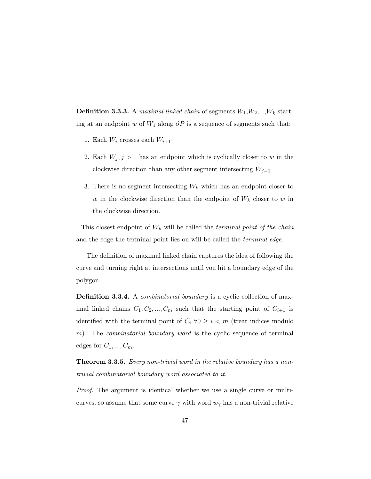**Definition 3.3.3.** A *maximal linked chain* of segments  $W_1$ , $W_2$ ,..., $W_k$  starting at an endpoint *w* of *W*<sup>1</sup> along *∂P* is a sequence of segments such that:

- 1. Each  $W_i$  crosses each  $W_{i+1}$
- 2. Each  $W_j$ ,  $j > 1$  has an endpoint which is cyclically closer to *w* in the clockwise direction than any other segment intersecting *Wj−*<sup>1</sup>
- 3. There is no segment intersecting  $W_k$  which has an endpoint closer to *w* in the clockwise direction than the endpoint of *W<sup>k</sup>* closer to *w* in the clockwise direction.

. This closest endpoint of *W<sup>k</sup>* will be called the *terminal point of the chain* and the edge the terminal point lies on will be called the *terminal edge*.

The definition of maximal linked chain captures the idea of following the curve and turning right at intersections until you hit a boundary edge of the polygon.

**Definition 3.3.4.** A *combinatorial boundary* is a cyclic collection of maximal linked chains  $C_1, C_2, ..., C_m$  such that the starting point of  $C_{i+1}$  is identified with the terminal point of  $C_i \ \forall 0 \geq i \leq m$  (treat indices modulo *m*). The *combinatorial boundary word* is the cyclic sequence of terminal edges for  $C_1, ..., C_m$ .

**Theorem 3.3.5.** *Every non-trivial word in the relative boundary has a nontrivial combinatorial boundary word associated to it.*

*Proof.* The argument is identical whether we use a single curve or multicurves, so assume that some curve  $\gamma$  with word  $w_{\gamma}$  has a non-trivial relative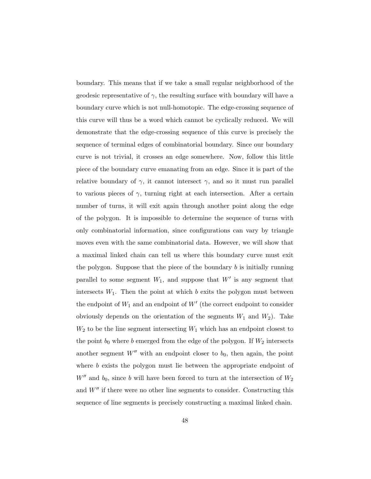boundary. This means that if we take a small regular neighborhood of the geodesic representative of  $\gamma$ , the resulting surface with boundary will have a boundary curve which is not null-homotopic. The edge-crossing sequence of this curve will thus be a word which cannot be cyclically reduced. We will demonstrate that the edge-crossing sequence of this curve is precisely the sequence of terminal edges of combinatorial boundary. Since our boundary curve is not trivial, it crosses an edge somewhere. Now, follow this little piece of the boundary curve emanating from an edge. Since it is part of the relative boundary of  $\gamma$ , it cannot intersect  $\gamma$ , and so it must run parallel to various pieces of *γ*, turning right at each intersection. After a certain number of turns, it will exit again through another point along the edge of the polygon. It is impossible to determine the sequence of turns with only combinatorial information, since configurations can vary by triangle moves even with the same combinatorial data. However, we will show that a maximal linked chain can tell us where this boundary curve must exit the polygon. Suppose that the piece of the boundary *b* is initially running parallel to some segment  $W_1$ , and suppose that  $W'$  is any segment that intersects  $W_1$ . Then the point at which  $b$  exits the polygon must between the endpoint of  $W_1$  and an endpoint of  $W'$  (the correct endpoint to consider obviously depends on the orientation of the segments  $W_1$  and  $W_2$ ). Take  $W_2$  to be the line segment intersecting  $W_1$  which has an endpoint closest to the point  $b_0$  where  $b$  emerged from the edge of the polygon. If  $W_2$  intersects another segment  $W''$  with an endpoint closer to  $b_0$ , then again, the point where *b* exists the polygon must lie between the appropriate endpoint of  $W''$  and  $b_0$ , since *b* will have been forced to turn at the intersection of  $W_2$ and *W′′* if there were no other line segments to consider. Constructing this sequence of line segments is precisely constructing a maximal linked chain.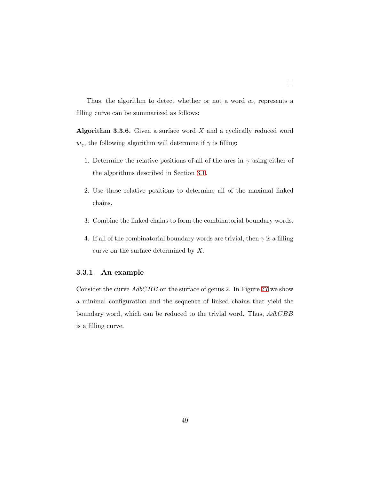Thus, the algorithm to detect whether or not a word  $w_{\gamma}$  represents a filling curve can be summarized as follows:

**Algorithm 3.3.6.** Given a surface word *X* and a cyclically reduced word  $w_{\gamma}$ , the following algorithm will determine if  $\gamma$  is filling:

- 1. Determine the relative positions of all of the arcs in  $\gamma$  using either of the algorithms described in Section [3.1](#page-23-0).
- 2. Use these relative positions to determine all of the maximal linked chains.
- 3. Combine the linked chains to form the combinatorial boundary words.
- 4. If all of the combinatorial boundary words are trivial, then  $\gamma$  is a filling curve on the surface determined by *X*.

#### **3.3.1 An example**

Consider the curve *AdbCBB* on the surface of genus 2. In Figure **[??](#page-55-0)** we show a minimal configuration and the sequence of linked chains that yield the boundary word, which can be reduced to the trivial word. Thus, *AdbCBB* is a filling curve.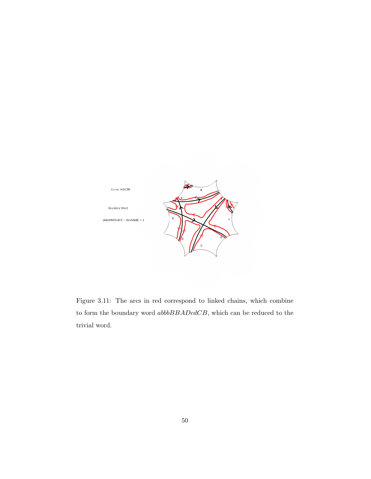<span id="page-55-0"></span>

Figure 3.11: The arcs in red correspond to linked chains, which combine to form the boundary word *abbbBBADcdCB*, which can be reduced to the trivial word.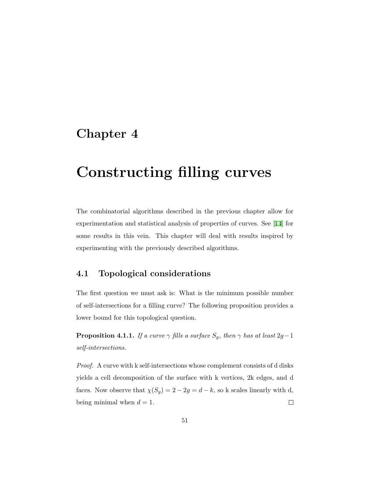## **Chapter 4**

# **Constructing filling curves**

The combinatorial algorithms described in the previous chapter allow for experimentation and statistical analysis of properties of curves. See[[14\]](#page-85-3) for some results in this vein. This chapter will deal with results inspired by experimenting with the previously described algorithms.

#### **4.1 Topological considerations**

The first question we must ask is: What is the minimum possible number of self-intersections for a filling curve? The following proposition provides a lower bound for this topological question.

**Proposition 4.1.1.** *If a curve*  $\gamma$  *fills a surface*  $S_g$ *, then*  $\gamma$  *has at least* 2*g* − 1 *self-intersections.*

*Proof.* A curve with k self-intersections whose complement consists of d disks yields a cell decomposition of the surface with k vertices, 2k edges, and d faces. Now observe that  $\chi(S_g) = 2 - 2g = d - k$ , so k scales linearly with d, being minimal when  $d = 1$ .  $\Box$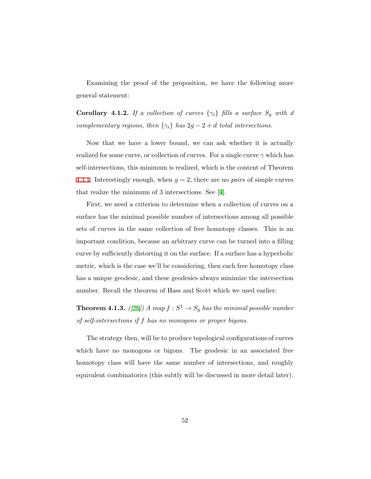Examining the proof of the proposition, we have the following more general statement:

<span id="page-57-1"></span>**Corollary 4.1.2.** *If a collection of curves*  $\{\gamma_i\}$  *fills a surface*  $S_g$  *with d complementary regions, then*  $\{\gamma_i\}$  *has*  $2g - 2 + d$  *total intersections.* 

Now that we have a lower bound, we can ask whether it is actually realized for some curve, or collection of curves. For a single curve *γ* which has self-intersections, this minimum is realized, which is the content of Theorem [4.3.1](#page-62-0). Interestingly enough, when  $g = 2$ , there are no *pairs* of simple curves that realize the minimum of 3 intersections. See[[4](#page-84-0)].

First, we need a criterion to determine when a collection of curves on a surface has the minimal possible number of intersections among all possible sets of curves in the same collection of free homotopy classes. This is an important condition, because an arbitrary curve can be turned into a filling curve by sufficiently distorting it on the surface. If a surface has a hyperbolic metric, which is the case we'll be considering, then each free homotopy class has a unique geodesic, and these geodesics always minimize the intersection number. Recall the theorem of Hass and Scott which we used earlier:

<span id="page-57-0"></span>**Theorem 4.1.3.** *([[20](#page-86-1)])* A map  $f : S^1 \to S_g$  has the minimal possible number *of self-intersections if f has no monogons or proper bigons.*

The strategy then, will be to produce topological configurations of curves which have no monogons or bigons. The geodesic in an associated free homotopy class will have the same number of intersections, and roughly equivalent combinatorics (this subtly will be discussed in more detail later).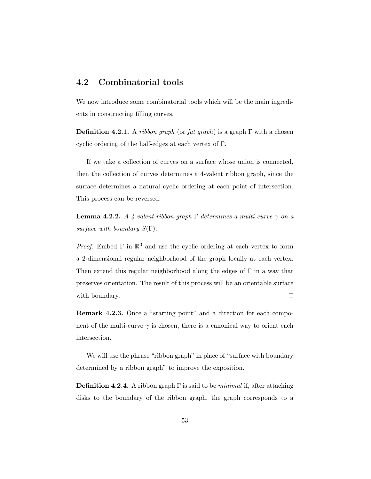#### **4.2 Combinatorial tools**

We now introduce some combinatorial tools which will be the main ingredients in constructing filling curves.

**Definition 4.2.1.** A *ribbon graph* (or *fat graph*) is a graph  $\Gamma$  with a chosen cyclic ordering of the half-edges at each vertex of Γ.

If we take a collection of curves on a surface whose union is connected, then the collection of curves determines a 4-valent ribbon graph, since the surface determines a natural cyclic ordering at each point of intersection. This process can be reversed:

**Lemma 4.2.2.** *A 4-valent ribbon graph* Γ *determines a multi-curve γ on a surface with boundary S*(Γ)*.*

*Proof.* Embed  $\Gamma$  in  $\mathbb{R}^3$  and use the cyclic ordering at each vertex to form a 2-dimensional regular neighborhood of the graph locally at each vertex. Then extend this regular neighborhood along the edges of  $\Gamma$  in a way that preserves orientation. The result of this process will be an orientable surface with boundary.  $\Box$ 

**Remark 4.2.3.** Once a "starting point" and a direction for each component of the multi-curve  $\gamma$  is chosen, there is a canonical way to orient each intersection.

We will use the phrase "ribbon graph" in place of "surface with boundary determined by a ribbon graph" to improve the exposition.

**Definition 4.2.4.** A ribbon graph Γ is said to be *minimal* if, after attaching disks to the boundary of the ribbon graph, the graph corresponds to a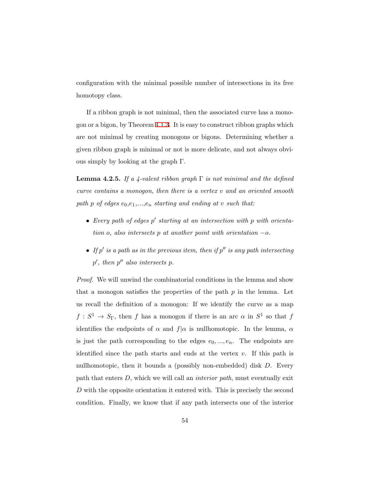configuration with the minimal possible number of intersections in its free homotopy class.

If a ribbon graph is not minimal, then the associated curve has a monogon or a bigon, by Theorem [4.1.3.](#page-57-0) It is easy to construct ribbon graphs which are not minimal by creating monogons or bigons. Determining whether a given ribbon graph is minimal or not is more delicate, and not always obvious simply by looking at the graph Γ.

<span id="page-59-0"></span>**Lemma 4.2.5.** *If a 4-valent ribbon graph* Γ *is not minimal and the defined curve contains a monogon, then there is a vertex v and an oriented smooth path p of edges e*0*,e*1*,...,e<sup>n</sup> starting and ending at v such that:*

- *• Every path of edges p ′ starting at an intersection with p with orientation o, also intersects p at another point with orientation −o.*
- *• If p ′ is a path as in the previous item, then if p ′′ is any path intersecting p ′ , then p ′′ also intersects p.*

*Proof.* We will unwind the combinatorial conditions in the lemma and show that a monogon satisfies the properties of the path *p* in the lemma. Let us recall the definition of a monogon: If we identify the curve as a map  $f: S^1 \to S_\Gamma$ , then *f* has a monogon if there is an arc  $\alpha$  in  $S^1$  so that *f* identifies the endpoints of  $\alpha$  and  $f|\alpha$  is nullhomotopic. In the lemma,  $\alpha$ is just the path corresponding to the edges  $e_0, ..., e_n$ . The endpoints are identified since the path starts and ends at the vertex *v*. If this path is nullhomotopic, then it bounds a (possibly non-embedded) disk *D*. Every path that enters *D*, which we will call an *interior path*, must eventually exit *D* with the opposite orientation it entered with. This is precisely the second condition. Finally, we know that if any path intersects one of the interior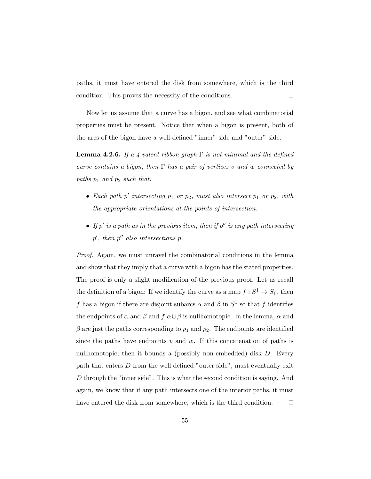paths, it must have entered the disk from somewhere, which is the third condition. This proves the necessity of the conditions.  $\Box$ 

Now let us assume that a curve has a bigon, and see what combinatorial properties must be present. Notice that when a bigon is present, both of the arcs of the bigon have a well-defined "inner" side and "outer" side.

**Lemma 4.2.6.** *If a 4-valent ribbon graph* Γ *is not minimal and the defined curve contains a bigon, then* Γ *has a pair of vertices v and w connected by paths p*<sup>1</sup> *and p*<sup>2</sup> *such that:*

- *• Each path p ′ intersecting p*<sup>1</sup> *or p*2*, must also intersect p*<sup>1</sup> *or p*2*, with the appropriate orientations at the points of intersection.*
- *• If p ′ is a path as in the previous item, then if p ′′ is any path intersecting p ′ , then p ′′ also intersections p.*

*Proof.* Again, we must unravel the combinatorial conditions in the lemma and show that they imply that a curve with a bigon has the stated properties. The proof is only a slight modification of the previous proof. Let us recall the definition of a bigon: If we identify the curve as a map  $f : S^1 \to S_{\Gamma}$ , then *f* has a bigon if there are disjoint subarcs  $\alpha$  and  $\beta$  in  $S^1$  so that *f* identifies the endpoints of  $\alpha$  and  $\beta$  and  $f | \alpha \cup \beta$  is nullhomotopic. In the lemma,  $\alpha$  and  $\beta$  are just the paths corresponding to  $p_1$  and  $p_2$ . The endpoints are identified since the paths have endpoints  $v$  and  $w$ . If this concatenation of paths is nullhomotopic, then it bounds a (possibly non-embedded) disk *D*. Every path that enters *D* from the well defined "outer side", must eventually exit *D* through the "inner side". This is what the second condition is saying. And again, we know that if any path intersects one of the interior paths, it must have entered the disk from somewhere, which is the third condition.  $\Box$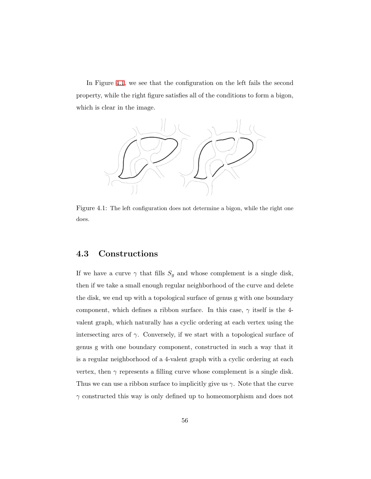In Figure [4.1](#page-61-0), we see that the configuration on the left fails the second property, while the right figure satisfies all of the conditions to form a bigon, which is clear in the image.

<span id="page-61-0"></span>

Figure 4.1: The left configuration does not determine a bigon, while the right one does.

#### **4.3 Constructions**

If we have a curve  $\gamma$  that fills  $S_g$  and whose complement is a single disk, then if we take a small enough regular neighborhood of the curve and delete the disk, we end up with a topological surface of genus g with one boundary component, which defines a ribbon surface. In this case, *γ* itself is the 4 valent graph, which naturally has a cyclic ordering at each vertex using the intersecting arcs of  $\gamma$ . Conversely, if we start with a topological surface of genus g with one boundary component, constructed in such a way that it is a regular neighborhood of a 4-valent graph with a cyclic ordering at each vertex, then  $\gamma$  represents a filling curve whose complement is a single disk. Thus we can use a ribbon surface to implicitly give us  $\gamma$ . Note that the curve *γ* constructed this way is only defined up to homeomorphism and does not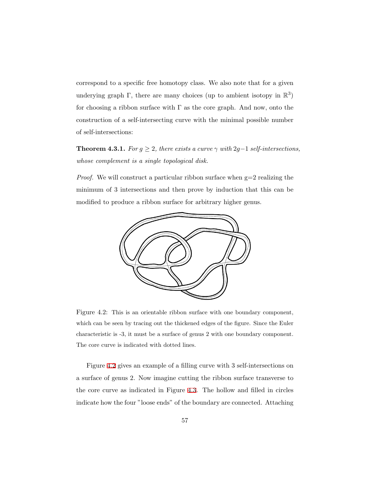correspond to a specific free homotopy class. We also note that for a given underying graph  $\Gamma$ , there are many choices (up to ambient isotopy in  $\mathbb{R}^3$ ) for choosing a ribbon surface with  $\Gamma$  as the core graph. And now, onto the construction of a self-intersecting curve with the minimal possible number of self-intersections:

<span id="page-62-0"></span>**Theorem 4.3.1.** *For*  $g \geq 2$ *, there exists a curve*  $\gamma$  *with* 2 $g-1$  *self-intersections, whose complement is a single topological disk.*

<span id="page-62-1"></span>*Proof.* We will construct a particular ribbon surface when  $g=2$  realizing the minimum of 3 intersections and then prove by induction that this can be modified to produce a ribbon surface for arbitrary higher genus.



Figure 4.2: This is an orientable ribbon surface with one boundary component, which can be seen by tracing out the thickened edges of the figure. Since the Euler characteristic is -3, it must be a surface of genus 2 with one boundary component. The core curve is indicated with dotted lines.

Figure [4.2](#page-62-1) gives an example of a filling curve with 3 self-intersections on a surface of genus 2. Now imagine cutting the ribbon surface transverse to the core curve as indicated in Figure [4.3.](#page-63-0) The hollow and filled in circles indicate how the four "loose ends" of the boundary are connected. Attaching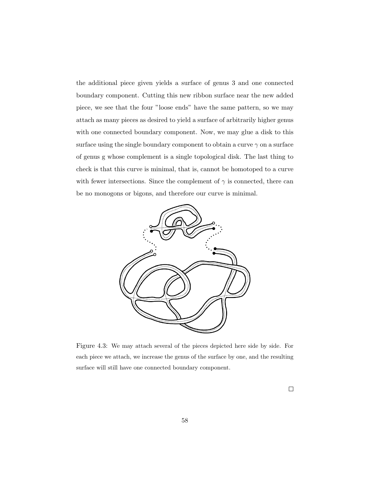the additional piece given yields a surface of genus 3 and one connected boundary component. Cutting this new ribbon surface near the new added piece, we see that the four "loose ends" have the same pattern, so we may attach as many pieces as desired to yield a surface of arbitrarily higher genus with one connected boundary component. Now, we may glue a disk to this surface using the single boundary component to obtain a curve  $\gamma$  on a surface of genus g whose complement is a single topological disk. The last thing to check is that this curve is minimal, that is, cannot be homotoped to a curve with fewer intersections. Since the complement of  $\gamma$  is connected, there can be no monogons or bigons, and therefore our curve is minimal.

<span id="page-63-0"></span>

Figure 4.3: We may attach several of the pieces depicted here side by side. For each piece we attach, we increase the genus of the surface by one, and the resulting surface will still have one connected boundary component.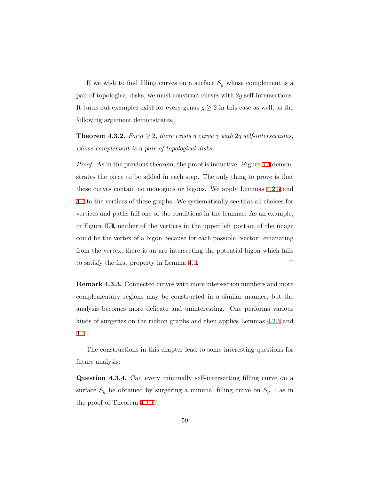If we wish to find filling curves on a surface  $S<sub>g</sub>$  whose complement is a pair of topological disks, we must construct curves with 2*g* self-intersections. It turns out examples exist for every genus  $g \geq 2$  in this case as well, as the following argument demonstrates.

**Theorem 4.3.2.** *For*  $g \geq 2$ *, there exists a curve*  $\gamma$  *with* 2*g self-intersections, whose complement is a pair of topological disks.*

*Proof.* As in the previous theorem, the proof is inductive. Figure [4.4](#page-65-0) demonstrates the piece to be added in each step. The only thing to prove is that these curves contain no monogons or bigons. We apply Lemmas [4.2.5](#page-59-0) and [4.1](#page-61-0) to the vertices of these graphs. We systematically see that all choices for vertices and paths fail one of the conditions in the lemmas. As an example, in Figure [4.4](#page-65-0), neither of the vertices in the upper left portion of the image could be the vertex of a bigon because for each possible "sector" emanating from the vertex, there is an arc intersecting the potential bigon which fails to satisfy the first property in Lemma [4.1.](#page-61-0)  $\Box$ 

**Remark 4.3.3.** Connected curves with more intersection numbers and more complementary regions may be constructed in a similar manner, but the analysis becomes more delicate and uninteresting. One performs various kinds of surgeries on the ribbon graphs and then applies Lemmas [4.2.5](#page-59-0) and [4.1](#page-61-0)

The constructions in this chapter lead to some interesting questions for future analysis:

<span id="page-64-0"></span>**Question 4.3.4.** Can every minimally self-intersecting filling curve on a surface  $S_g$  be obtained by surgering a minimal filling curve on  $S_{g-1}$  as in the proof of Theorem [4.3.1](#page-62-0)?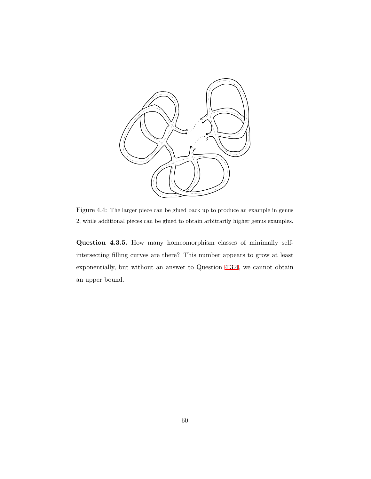<span id="page-65-0"></span>

Figure 4.4: The larger piece can be glued back up to produce an example in genus 2, while additional pieces can be glued to obtain arbitrarily higher genus examples.

**Question 4.3.5.** How many homeomorphism classes of minimally selfintersecting filling curves are there? This number appears to grow at least exponentially, but without an answer to Question [4.3.4,](#page-64-0) we cannot obtain an upper bound.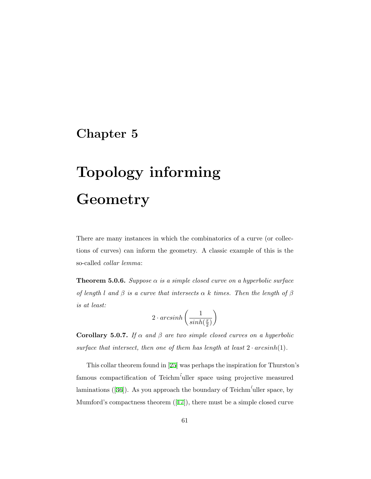## **Chapter 5**

# **Topology informing Geometry**

There are many instances in which the combinatorics of a curve (or collections of curves) can inform the geometry. A classic example of this is the so-called *collar lemma*:

**Theorem 5.0.6.** *Suppose α is a simple closed curve on a hyperbolic surface of length l and*  $\beta$  *is a curve that intersects*  $\alpha$  *k times. Then the length of*  $\beta$ *is at least:*

$$
2 \cdot arcsinh\left(\frac{1}{sinh(\frac{x}{2})}\right)
$$

**Corollary 5.0.7.** *If*  $\alpha$  *and*  $\beta$  *are two simple closed curves on a hyperbolic* surface that intersect, then one of them has length at least  $2 \cdot arcsinh(1)$ .

This collar theorem found in[[25](#page-86-2)] was perhaps the inspiration for Thurston's famous compactification of Teichm´'uller space using projective measured laminations  $([36])$  $([36])$  $([36])$ . As you approach the boundary of Teichm<sup>5</sup>uller space, by Mumford's compactness theorem ([\[17](#page-85-4)]), there must be a simple closed curve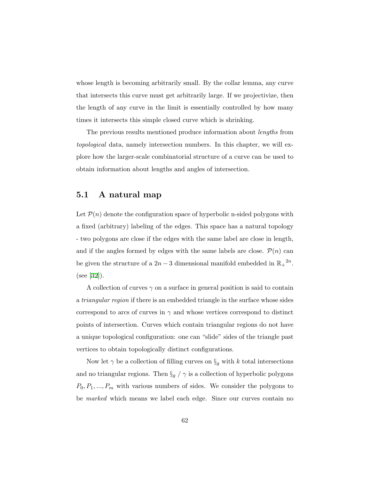whose length is becoming arbitrarily small. By the collar lemma, any curve that intersects this curve must get arbitrarily large. If we projectivize, then the length of any curve in the limit is essentially controlled by how many times it intersects this simple closed curve which is shrinking.

The previous results mentioned produce information about *lengths* from *topological* data, namely intersection numbers. In this chapter, we will explore how the larger-scale combinatorial structure of a curve can be used to obtain information about lengths and angles of intersection.

#### **5.1 A natural map**

Let  $P(n)$  denote the configuration space of hyperbolic n-sided polygons with a fixed (arbitrary) labeling of the edges. This space has a natural topology - two polygons are close if the edges with the same label are close in length, and if the angles formed by edges with the same labels are close.  $P(n)$  can be given the structure of a  $2n-3$  dimensional manifold embedded in  $\mathbb{R}_{+}^{2n}$ . (see[[32\]](#page-87-1)).

A collection of curves  $\gamma$  on a surface in general position is said to contain a *triangular region* if there is an embedded triangle in the surface whose sides correspond to arcs of curves in  $\gamma$  and whose vertices correspond to distinct points of intersection. Curves which contain triangular regions do not have a unique topological configuration: one can "slide" sides of the triangle past vertices to obtain topologically distinct configurations.

Now let  $\gamma$  be a collection of filling curves on  $\S_g$  with *k* total intersections and no triangular regions. Then  $\S_g / \gamma$  is a collection of hyperbolic polygons *P*0*, P*1*, ..., P<sup>m</sup>* with various numbers of sides. We consider the polygons to be *marked* which means we label each edge. Since our curves contain no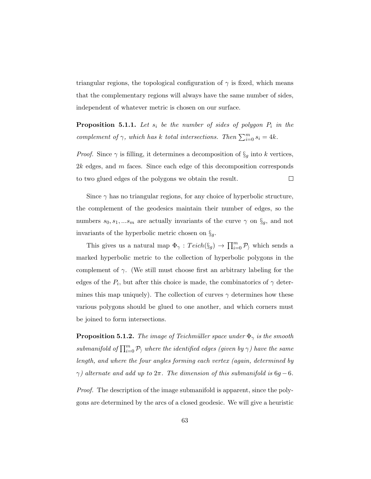triangular regions, the topological configuration of  $\gamma$  is fixed, which means that the complementary regions will always have the same number of sides, independent of whatever metric is chosen on our surface.

<span id="page-68-0"></span>**Proposition 5.1.1.** Let  $s_i$  be the number of sides of polygon  $P_i$  in the *complement of*  $\gamma$ *, which has k total intersections. Then*  $\sum_{i=0}^{m} s_i = 4k$ *.* 

*Proof.* Since  $\gamma$  is filling, it determines a decomposition of  $\S_g$  into *k* vertices, 2*k* edges, and *m* faces. Since each edge of this decomposition corresponds to two glued edges of the polygons we obtain the result.  $\Box$ 

Since  $\gamma$  has no triangular regions, for any choice of hyperbolic structure, the complement of the geodesics maintain their number of edges, so the numbers  $s_0, s_1, ... s_m$  are actually invariants of the curve  $\gamma$  on  $\S_g$ , and not invariants of the hyperbolic metric chosen on *§g*.

This gives us a natural map  $\Phi_{\gamma}: Teich(\S_g) \to \prod_{i=0}^m \mathcal{P}_{\gamma}$  which sends a marked hyperbolic metric to the collection of hyperbolic polygons in the complement of *γ*. (We still must choose first an arbitrary labeling for the edges of the  $P_i$ , but after this choice is made, the combinatorics of  $\gamma$  determines this map uniquely). The collection of curves  $\gamma$  determines how these various polygons should be glued to one another, and which corners must be joined to form intersections.

**Proposition 5.1.2.** *The image of Teichmüller space under*  $\Phi_{\gamma}$  *is the smooth*  $submanifold$  *of*  $\prod_{i=0}^{m} P_{\rangle}$  *where the identified edges (given by*  $\gamma$ *) have the same length, and where the four angles forming each vertex (again, determined by γ*) alternate and add up to  $2π$ . The dimension of this submanifold is  $6q - 6$ .

*Proof.* The description of the image submanifold is apparent, since the polygons are determined by the arcs of a closed geodesic. We will give a heuristic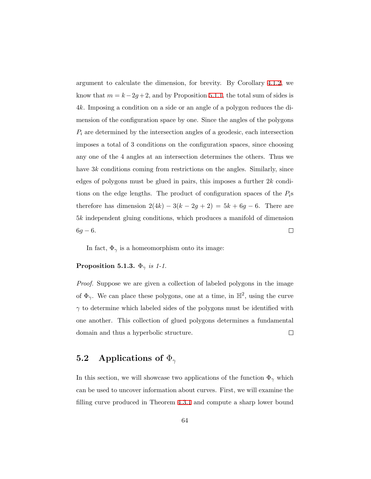argument to calculate the dimension, for brevity. By Corollary [4.1.2](#page-57-1), we know that  $m = k - 2g + 2$ , and by Proposition [5.1.1](#page-68-0), the total sum of sides is 4*k*. Imposing a condition on a side or an angle of a polygon reduces the dimension of the configuration space by one. Since the angles of the polygons *P<sup>i</sup>* are determined by the intersection angles of a geodesic, each intersection imposes a total of 3 conditions on the configuration spaces, since choosing any one of the 4 angles at an intersection determines the others. Thus we have 3*k* conditions coming from restrictions on the angles. Similarly, since edges of polygons must be glued in pairs, this imposes a further 2*k* conditions on the edge lengths. The product of configuration spaces of the *Pi*s therefore has dimension  $2(4k) - 3(k - 2g + 2) = 5k + 6g - 6$ . There are 5*k* independent gluing conditions, which produces a manifold of dimension  $6g - 6.$  $\Box$ 

In fact,  $\Phi_{\gamma}$  is a homeomorphism onto its image:

#### **Proposition 5.1.3.**  $\Phi_{\gamma}$  *is 1-1.*

*Proof.* Suppose we are given a collection of labeled polygons in the image of  $\Phi_{\gamma}$ . We can place these polygons, one at a time, in  $\mathbb{H}^2$ , using the curve *γ* to determine which labeled sides of the polygons must be identified with one another. This collection of glued polygons determines a fundamental domain and thus a hyperbolic structure.  $\Box$ 

#### **5.2 Applications of** Φ*<sup>γ</sup>*

In this section, we will showcase two applications of the function  $\Phi_{\gamma}$  which can be used to uncover information about curves. First, we will examine the filling curve produced in Theorem [4.3.1](#page-62-0) and compute a sharp lower bound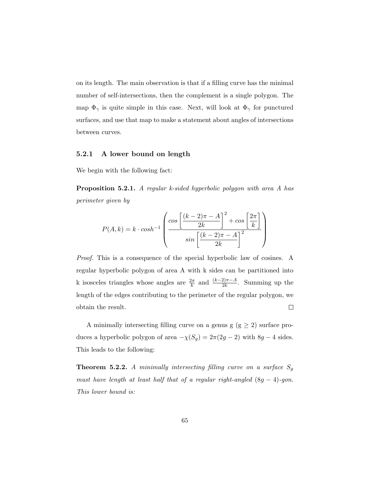on its length. The main observation is that if a filling curve has the minimal number of self-intersections, then the complement is a single polygon. The map  $\Phi_{\gamma}$  is quite simple in this case. Next, will look at  $\Phi_{\gamma}$  for punctured surfaces, and use that map to make a statement about angles of intersections between curves.

#### **5.2.1 A lower bound on length**

We begin with the following fact:

**Proposition 5.2.1.** *A regular k-sided hyperbolic polygon with area A has perimeter given by*

$$
P(A,k) = k \cdot \cosh^{-1} \left( \frac{\cos \left[ \frac{(k-2)\pi - A}{2k} \right]^2 + \cos \left[ \frac{2\pi}{k} \right]}{\sin \left[ \frac{(k-2)\pi - A}{2k} \right]^2} \right)
$$

*Proof.* This is a consequence of the special hyperbolic law of cosines. A regular hyperbolic polygon of area A with k sides can be partitioned into k isosceles triangles whose angles are  $\frac{2\pi}{k}$  and  $\frac{(k-2)\pi-A}{2k}$ . Summing up the length of the edges contributing to the perimeter of the regular polygon, we  $\Box$ obtain the result.

A minimally intersecting filling curve on a genus g ( $g \ge 2$ ) surface produces a hyperbolic polygon of area  $-\chi(S_g) = 2\pi(2g - 2)$  with  $8g - 4$  sides. This leads to the following:

**Theorem 5.2.2.** *A minimally intersecting filling curve on a surface S<sup>g</sup> must have length at least half that of a regular right-angled* (8*g −* 4)*-gon. This lower bound is:*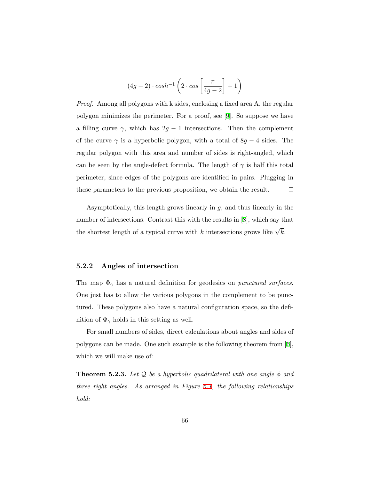$$
(4g-2)\cdot cosh^{-1}\left(2\cdot cos\left[\frac{\pi}{4g-2}\right]+1\right)
$$

*Proof.* Among all polygons with k sides, enclosing a fixed area A, the regular polygon minimizes the perimeter. For a proof, see[[9\]](#page-85-5). So suppose we have a filling curve  $\gamma$ , which has  $2g - 1$  intersections. Then the complement of the curve  $\gamma$  is a hyperbolic polygon, with a total of  $8g - 4$  sides. The regular polygon with this area and number of sides is right-angled, which can be seen by the angle-defect formula. The length of  $\gamma$  is half this total perimeter, since edges of the polygons are identified in pairs. Plugging in these parameters to the previous proposition, we obtain the result.  $\Box$ 

Asymptotically, this length grows linearly in *g*, and thus linearly in the number of intersections. Contrast this with the results in[[8](#page-85-6)], which say that the shortest length of a typical curve with *k* intersections grows like  $\sqrt{k}$ .

#### **5.2.2 Angles of intersection**

The map  $\Phi_{\gamma}$  has a natural definition for geodesics on *punctured surfaces*. One just has to allow the various polygons in the complement to be punctured. These polygons also have a natural configuration space, so the definition of  $\Phi_{\gamma}$  holds in this setting as well.

For small numbers of sides, direct calculations about angles and sides of polygons can be made. One such example is the following theorem from[[6](#page-84-1)], which we will make use of:

**Theorem 5.2.3.** Let  $\mathcal{Q}$  be a hyperbolic quadrilateral with one angle  $\phi$  and *three right angles. As arranged in Figure [5.1,](#page-72-0) the following relationships hold:*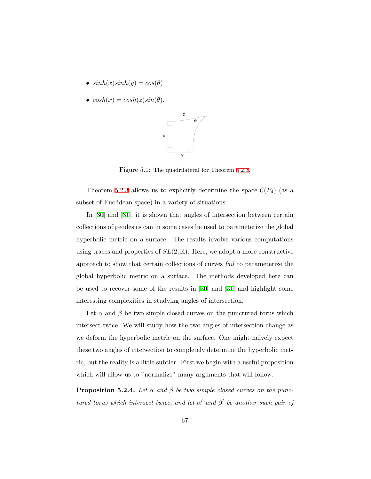- $sinh(x)sinh(y) = cos(\theta)$
- $cosh(x) = cosh(z)sin(\theta)$ .



Figure 5.1: The quadrilateral for Theorem [5.2.3.](#page-71-0)

Theorem [5.2.3](#page-71-0) allows us to explicitly determine the space  $\mathcal{C}(P_4)$  (as a subset of Euclidean space) in a variety of situations.

In[[30\]](#page-87-0) and[[31](#page-87-1)], it is shown that angles of intersection between certain collections of geodesics can in some cases be used to parameterize the global hyperbolic metric on a surface. The results involve various computations using traces and properties of  $SL(2,\mathbb{R})$ . Here, we adopt a more constructive approach to show that certain collections of curves *fail* to parameterize the global hyperbolic metric on a surface. The methods developed here can be used to recover some of the results in[[30](#page-87-0)] and [\[31](#page-87-1)] and highlight some interesting complexities in studying angles of intersection.

Let  $\alpha$  and  $\beta$  be two simple closed curves on the punctured torus which intersect twice. We will study how the two angles of intersection change as we deform the hyperbolic metric on the surface. One might naively expect these two angles of intersection to completely determine the hyperbolic metric, but the reality is a little subtler. First we begin with a useful proposition which will allow us to "normalize" many arguments that will follow.

<span id="page-72-0"></span>**Proposition 5.2.4.** Let  $\alpha$  and  $\beta$  be two simple closed curves on the punc*tured torus which intersect twice, and let*  $\alpha'$  *and*  $\beta'$  *be another such pair of*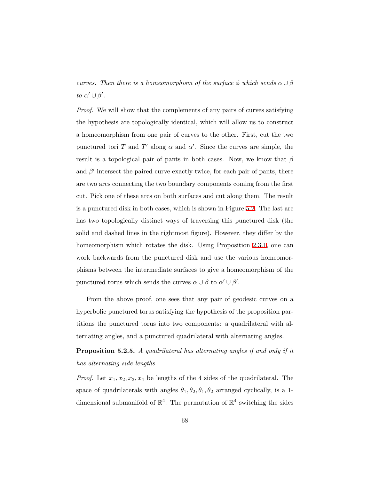*curves. Then there is a homeomorphism of the surface*  $\phi$  *which sends*  $\alpha \cup \beta$ *to*  $\alpha' \cup \beta'$ .

*Proof.* We will show that the complements of any pairs of curves satisfying the hypothesis are topologically identical, which will allow us to construct a homeomorphism from one pair of curves to the other. First, cut the two punctured tori *T* and *T'* along  $\alpha$  and  $\alpha'$ . Since the curves are simple, the result is a topological pair of pants in both cases. Now, we know that *β* and  $\beta'$  intersect the paired curve exactly twice, for each pair of pants, there are two arcs connecting the two boundary components coming from the first cut. Pick one of these arcs on both surfaces and cut along them. The result is a punctured disk in both cases, which is shown in Figure [5.2](#page-74-0). The last arc has two topologically distinct ways of traversing this punctured disk (the solid and dashed lines in the rightmost figure). However, they differ by the homeomorphism which rotates the disk. Using Proposition [2.3.1,](#page-19-0) one can work backwards from the punctured disk and use the various homeomorphisms between the intermediate surfaces to give a homeomorphism of the punctured torus which sends the curves  $\alpha \cup \beta$  to  $\alpha' \cup \beta'$ .  $\Box$ 

From the above proof, one sees that any pair of geodesic curves on a hyperbolic punctured torus satisfying the hypothesis of the proposition partitions the punctured torus into two components: a quadrilateral with alternating angles, and a punctured quadrilateral with alternating angles.

**Proposition 5.2.5.** *A quadrilateral has alternating angles if and only if it has alternating side lengths.*

*Proof.* Let  $x_1, x_2, x_3, x_4$  be lengths of the 4 sides of the quadrilateral. The space of quadrilaterals with angles  $\theta_1, \theta_2, \theta_1, \theta_2$  arranged cyclically, is a 1dimensional submanifold of  $\mathbb{R}^4$ . The permutation of  $\mathbb{R}^4$  switching the sides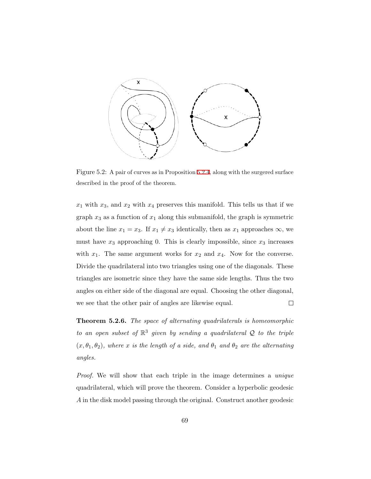<span id="page-74-0"></span>

Figure 5.2: A pair of curves as in Proposition [5.2.4,](#page-72-0) along with the surgered surface described in the proof of the theorem.

 $x_1$  with  $x_3$ , and  $x_2$  with  $x_4$  preserves this manifold. This tells us that if we graph  $x_3$  as a function of  $x_1$  along this submanifold, the graph is symmetric about the line  $x_1 = x_3$ . If  $x_1 \neq x_3$  identically, then as  $x_1$  approaches  $\infty$ , we must have  $x_3$  approaching 0. This is clearly impossible, since  $x_3$  increases with  $x_1$ . The same argument works for  $x_2$  and  $x_4$ . Now for the converse. Divide the quadrilateral into two triangles using one of the diagonals. These triangles are isometric since they have the same side lengths. Thus the two angles on either side of the diagonal are equal. Choosing the other diagonal, we see that the other pair of angles are likewise equal.  $\Box$ 

<span id="page-74-1"></span>**Theorem 5.2.6.** *The space of alternating quadrilaterals is homeomorphic to an open subset of*  $\mathbb{R}^3$  *given by sending a quadrilateral*  $\mathcal Q$  *to the triple*  $(x, \theta_1, \theta_2)$ , where *x* is the length of a side, and  $\theta_1$  and  $\theta_2$  are the alternating *angles.*

*Proof.* We will show that each triple in the image determines a *unique* quadrilateral, which will prove the theorem. Consider a hyperbolic geodesic *A* in the disk model passing through the original. Construct another geodesic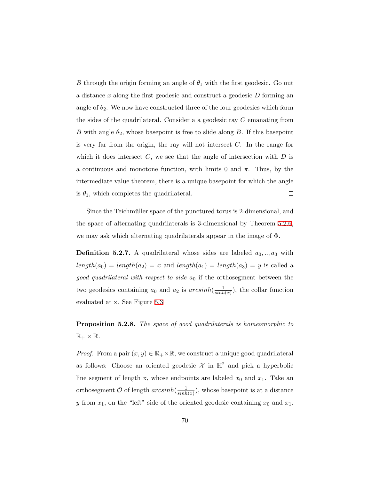*B* through the origin forming an angle of  $\theta_1$  with the first geodesic. Go out a distance *x* along the first geodesic and construct a geodesic *D* forming an angle of  $\theta_2$ . We now have constructed three of the four geodesics which form the sides of the quadrilateral. Consider a a geodesic ray *C* emanating from *B* with angle  $\theta_2$ , whose basepoint is free to slide along *B*. If this basepoint is very far from the origin, the ray will not intersect *C*. In the range for which it does intersect  $C$ , we see that the angle of intersection with  $D$  is a continuous and monotone function, with limits 0 and  $\pi$ . Thus, by the intermediate value theorem, there is a unique basepoint for which the angle  $\Box$ is  $\theta_1$ , which completes the quadrilateral.

Since the Teichmüller space of the punctured torus is 2-dimensional, and the space of alternating quadrilaterals is 3-dimensional by Theorem [5.2.6](#page-74-1), we may ask which alternating quadrilaterals appear in the image of Φ.

**Definition 5.2.7.** A quadrilateral whose sides are labeled  $a_0, \ldots, a_3$  with  $length(a_0) = length(a_2) = x$  and  $length(a_1) = length(a_3) = y$  is called a *good quadrilateral with respect to side*  $a_0$  if the orthosegment between the two geodesics containing  $a_0$  and  $a_2$  is  $arcsinh(\frac{1}{\sinh \theta})$  $\frac{1}{\sinh(x)}$ , the collar function evaluated at x. See Figure [5.3](#page-76-0)

<span id="page-75-0"></span>**Proposition 5.2.8.** *The space of good quadrilaterals is homeomorphic to*  $\mathbb{R}_+ \times \mathbb{R}$ .

*Proof.* From a pair  $(x, y) \in \mathbb{R}_+ \times \mathbb{R}$ , we construct a unique good quadrilateral as follows: Choose an oriented geodesic  $\mathcal X$  in  $\mathbb H^2$  and pick a hyperbolic line segment of length x, whose endpoints are labeled  $x_0$  and  $x_1$ . Take an orthosegment  $\mathcal O$  of length  $arcsinh(\frac{1}{\sinh \theta})$  $\frac{1}{sinh(x)}$ , whose basepoint is at a distance *y* from  $x_1$ , on the "left" side of the oriented geodesic containing  $x_0$  and  $x_1$ .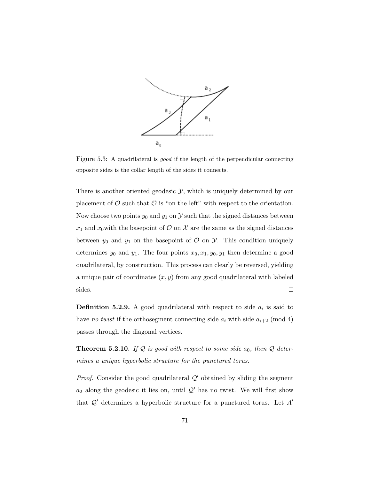<span id="page-76-0"></span>

Figure 5.3: A quadrilateral is *good* if the length of the perpendicular connecting opposite sides is the collar length of the sides it connects.

There is another oriented geodesic *Y*, which is uniquely determined by our placement of  $\mathcal O$  such that  $\mathcal O$  is "on the left" with respect to the orientation. Now choose two points  $y_0$  and  $y_1$  on  $\mathcal Y$  such that the signed distances between  $x_1$  and  $x_0$  with the basepoint of  $\mathcal O$  on  $\mathcal X$  are the same as the signed distances between  $y_0$  and  $y_1$  on the basepoint of  $\mathcal O$  on  $\mathcal Y$ . This condition uniquely determines  $y_0$  and  $y_1$ . The four points  $x_0, x_1, y_0, y_1$  then determine a good quadrilateral, by construction. This process can clearly be reversed, yielding a unique pair of coordinates (*x, y*) from any good quadrilateral with labeled sides.  $\Box$ 

**Definition 5.2.9.** A good quadrilateral with respect to side  $a_i$  is said to have *no twist* if the orthosegment connecting side  $a_i$  with side  $a_{i+2}$  (mod 4) passes through the diagonal vertices.

<span id="page-76-1"></span>**Theorem 5.2.10.** If  $Q$  is good with respect to some side  $a_0$ , then  $Q$  deter*mines a unique hyperbolic structure for the punctured torus.*

*Proof.* Consider the good quadrilateral  $Q'$  obtained by sliding the segment  $a_2$  along the geodesic it lies on, until  $\mathcal{Q}'$  has no twist. We will first show that *Q′* determines a hyperbolic structure for a punctured torus. Let *A′*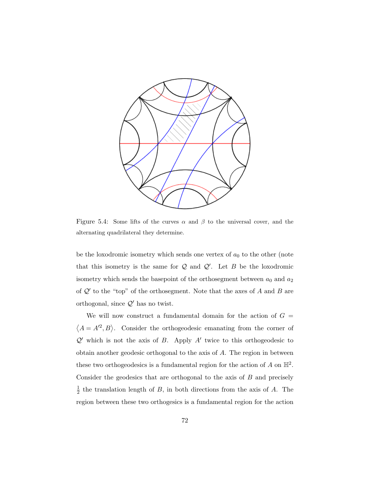

Figure 5.4: Some lifts of the curves  $\alpha$  and  $\beta$  to the universal cover, and the alternating quadrilateral they determine.

be the loxodromic isometry which sends one vertex of  $a_0$  to the other (note that this isometry is the same for *Q* and *Q′* . Let *B* be the loxodromic isometry which sends the basepoint of the orthosegment between  $a_0$  and  $a_2$ of *Q′* to the "top" of the orthosegment. Note that the axes of *A* and *B* are orthogonal, since *Q′* has no twist.

We will now construct a fundamental domain for the action of  $G =$  $\langle A = A^2, B \rangle$ . Consider the orthogeodesic emanating from the corner of *Q′* which is not the axis of *B*. Apply *A′* twice to this orthogeodesic to obtain another geodesic orthogonal to the axis of *A*. The region in between these two orthogeodesics is a fundamental region for the action of  $A$  on  $\mathbb{H}^2$ . Consider the geodesics that are orthogonal to the axis of *B* and precisely 1  $\frac{1}{2}$  the translation length of *B*, in both directions from the axis of *A*. The region between these two orthogesics is a fundamental region for the action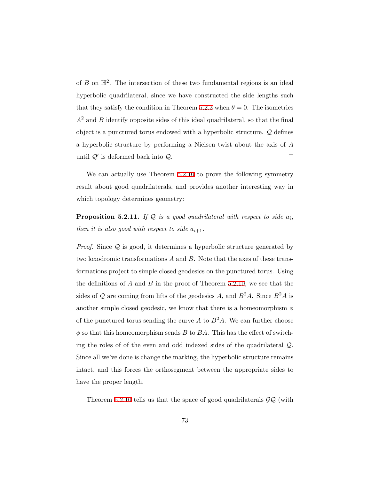of  $B$  on  $\mathbb{H}^2$ . The intersection of these two fundamental regions is an ideal hyperbolic quadrilateral, since we have constructed the side lengths such that they satisfy the condition in Theorem [5.2.3](#page-71-0) when  $\theta = 0$ . The isometries *A*<sup>2</sup> and *B* identify opposite sides of this ideal quadrilateral, so that the final object is a punctured torus endowed with a hyperbolic structure. *Q* defines a hyperbolic structure by performing a Nielsen twist about the axis of *A* until *Q′* is deformed back into *Q*.  $\Box$ 

We can actually use Theorem [5.2.10](#page-76-1) to prove the following symmetry result about good quadrilaterals, and provides another interesting way in which topology determines geometry:

<span id="page-78-0"></span>**Proposition 5.2.11.** If  $Q$  *is a good quadrilateral with respect to side*  $a_i$ *, then it is also good with respect to side*  $a_{i+1}$ *.* 

*Proof.* Since *Q* is good, it determines a hyperbolic structure generated by two loxodromic transformations *A* and *B*. Note that the axes of these transformations project to simple closed geodesics on the punctured torus. Using the definitions of *A* and *B* in the proof of Theorem [5.2.10](#page-76-1), we see that the sides of  $Q$  are coming from lifts of the geodesics *A*, and  $B^2A$ . Since  $B^2A$  is another simple closed geodesic, we know that there is a homeomorphism *ϕ* of the punctured torus sending the curve  $A$  to  $B^2A$ . We can further choose  $\phi$  so that this homeomorphism sends *B* to *BA*. This has the effect of switching the roles of of the even and odd indexed sides of the quadrilateral *Q*. Since all we've done is change the marking, the hyperbolic structure remains intact, and this forces the orthosegment between the appropriate sides to have the proper length.  $\Box$ 

Theorem [5.2.10](#page-76-1) tells us that the space of good quadrilaterals *GQ* (with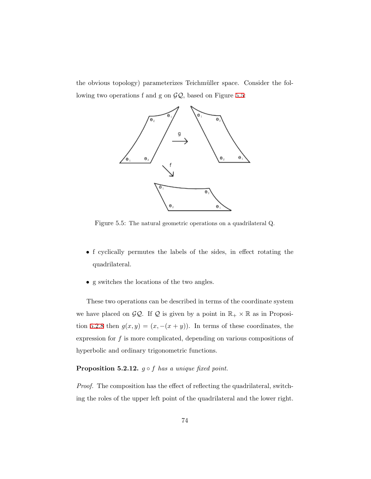<span id="page-79-0"></span>the obvious topology) parameterizes Teichmüller space. Consider the following two operations f and g on *GQ*, based on Figure [5.5:](#page-79-0)



Figure 5.5: The natural geometric operations on a quadrilateral Q.

- *•* f cyclically permutes the labels of the sides, in effect rotating the quadrilateral.
- *•* g switches the locations of the two angles.

These two operations can be described in terms of the coordinate system we have placed on  $\mathcal{GQ}$ . If  $\mathcal Q$  is given by a point in  $\mathbb{R}_+ \times \mathbb{R}$  as in Proposi-tion [5.2.8](#page-75-0) then  $g(x, y) = (x, -(x + y))$ . In terms of these coordinates, the expression for *f* is more complicated, depending on various compositions of hyperbolic and ordinary trigonometric functions.

## **Proposition 5.2.12.**  $g \circ f$  *has a unique fixed point.*

*Proof.* The composition has the effect of reflecting the quadrilateral, switching the roles of the upper left point of the quadrilateral and the lower right.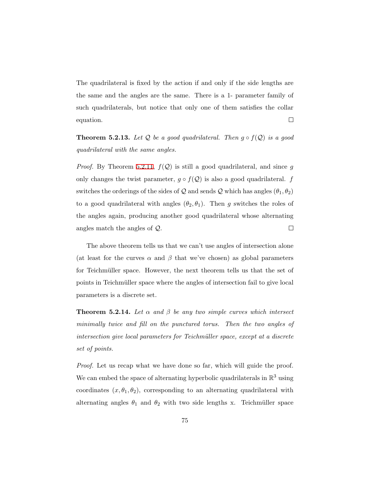The quadrilateral is fixed by the action if and only if the side lengths are the same and the angles are the same. There is a 1- parameter family of such quadrilaterals, but notice that only one of them satisfies the collar  $\Box$ equation.

**Theorem 5.2.13.** Let  $Q$  be a good quadrilateral. Then  $g \circ f(Q)$  is a good *quadrilateral with the same angles.*

*Proof.* By Theorem [5.2.11,](#page-78-0)  $f(Q)$  is still a good quadrilateral, and since  $g$ only changes the twist parameter,  $g \circ f(Q)$  is also a good quadrilateral. *f* switches the orderings of the sides of  $Q$  and sends  $Q$  which has angles  $(\theta_1, \theta_2)$ to a good quadrilateral with angles  $(\theta_2, \theta_1)$ . Then *g* switches the roles of the angles again, producing another good quadrilateral whose alternating angles match the angles of *Q*.  $\Box$ 

The above theorem tells us that we can't use angles of intersection alone (at least for the curves  $\alpha$  and  $\beta$  that we've chosen) as global parameters for Teichmüller space. However, the next theorem tells us that the set of points in Teichmüller space where the angles of intersection fail to give local parameters is a discrete set.

**Theorem 5.2.14.** Let  $\alpha$  and  $\beta$  be any two simple curves which intersect *minimally twice and fill on the punctured torus. Then the two angles of intersection give local parameters for Teichmüller space, except at a discrete set of points.*

*Proof.* Let us recap what we have done so far, which will guide the proof. We can embed the space of alternating hyperbolic quadrilaterals in  $\mathbb{R}^3$  using coordinates  $(x, \theta_1, \theta_2)$ , corresponding to an alternating quadrilateral with alternating angles  $\theta_1$  and  $\theta_2$  with two side lengths x. Teichmüller space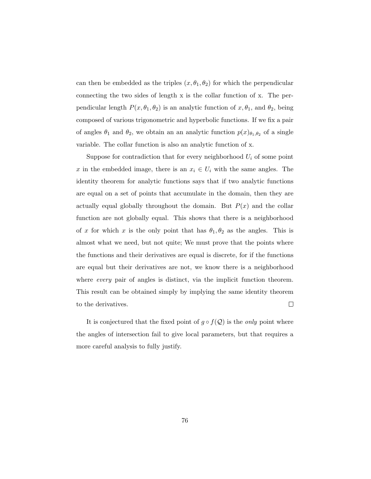can then be embedded as the triples  $(x, \theta_1, \theta_2)$  for which the perpendicular connecting the two sides of length x is the collar function of x. The perpendicular length  $P(x, \theta_1, \theta_2)$  is an analytic function of  $x, \theta_1$ , and  $\theta_2$ , being composed of various trigonometric and hyperbolic functions. If we fix a pair of angles  $\theta_1$  and  $\theta_2$ , we obtain an an analytic function  $p(x)_{\theta_1,\theta_2}$  of a single variable. The collar function is also an analytic function of x.

Suppose for contradiction that for every neighborhood  $U_i$  of some point *x* in the embedded image, there is an  $x_i \in U_i$  with the same angles. The identity theorem for analytic functions says that if two analytic functions are equal on a set of points that accumulate in the domain, then they are actually equal globally throughout the domain. But  $P(x)$  and the collar function are not globally equal. This shows that there is a neighborhood of *x* for which *x* is the only point that has  $\theta_1, \theta_2$  as the angles. This is almost what we need, but not quite; We must prove that the points where the functions and their derivatives are equal is discrete, for if the functions are equal but their derivatives are not, we know there is a neighborhood where *every* pair of angles is distinct, via the implicit function theorem. This result can be obtained simply by implying the same identity theorem  $\Box$ to the derivatives.

It is conjectured that the fixed point of  $g \circ f(Q)$  is the *only* point where the angles of intersection fail to give local parameters, but that requires a more careful analysis to fully justify.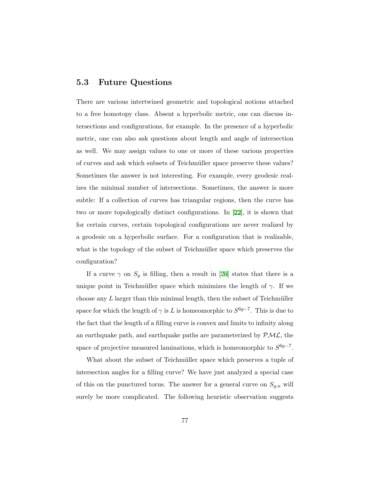## **5.3 Future Questions**

There are various intertwined geometric and topological notions attached to a free homotopy class. Absent a hyperbolic metric, one can discuss intersections and configurations, for example. In the presence of a hyperbolic metric, one can also ask questions about length and angle of intersection as well. We may assign values to one or more of these various properties of curves and ask which subsets of Teichmüller space preserve these values? Sometimes the answer is not interesting. For example, every geodesic realizes the minimal number of intersections. Sometimes, the answer is more subtle: If a collection of curves has triangular regions, then the curve has two or more topologically distinct configurations. In[[22\]](#page-86-0), it is shown that for certain curves, certain topological configurations are never realized by a geodesic on a hyperbolic surface. For a configuration that is realizable, what is the topology of the subset of Teichmüller space which preserves the configuration?

Ifa curve  $\gamma$  on  $S_g$  is filling, then a result in [[26](#page-86-1)] states that there is a unique point in Teichmüller space which minimizes the length of  $\gamma$ . If we choose any  $L$  larger than this minimal length, then the subset of Teichmüller space for which the length of  $\gamma$  is *L* is homeomorphic to  $S^{6g-7}$ . This is due to the fact that the length of a filling curve is convex and limits to infinity along an earthquake path, and earthquake paths are parameterized by *PML*, the space of projective measured laminations, which is homeomorphic to  $S^{6g-7}$ .

What about the subset of Teichmüller space which preserves a tuple of intersection angles for a filling curve? We have just analyzed a special case of this on the punctured torus. The answer for a general curve on  $S_{g,n}$  will surely be more complicated. The following heuristic observation suggests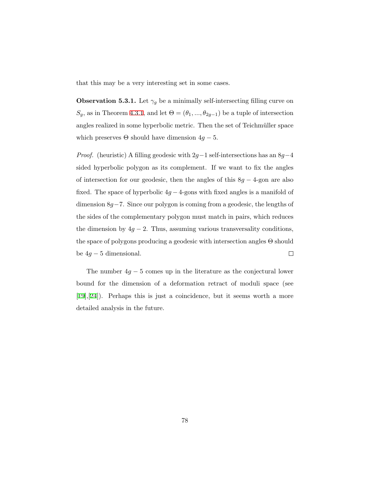that this may be a very interesting set in some cases.

**Observation 5.3.1.** Let  $\gamma_g$  be a minimally self-intersecting filling curve on *S<sub>g</sub>*, as in Theorem [4.3.1,](#page-62-0) and let  $Θ = (θ_1, ..., θ_{2g-1})$  be a tuple of intersection angles realized in some hyperbolic metric. Then the set of Teichmüller space which preserves  $\Theta$  should have dimension  $4g - 5$ .

*Proof.* (heuristic) A filling geodesic with 2*g−*1 self-intersections has an 8*g−*4 sided hyperbolic polygon as its complement. If we want to fix the angles of intersection for our geodesic, then the angles of this 8*g −* 4-gon are also fixed. The space of hyperbolic  $4g - 4$ -gons with fixed angles is a manifold of dimension 8*g−*7. Since our polygon is coming from a geodesic, the lengths of the sides of the complementary polygon must match in pairs, which reduces the dimension by  $4g - 2$ . Thus, assuming various transversality conditions, the space of polygons producing a geodesic with intersection angles Θ should be 4*g −* 5 dimensional.  $\Box$ 

The number  $4g - 5$  comes up in the literature as the conjectural lower bound for the dimension of a deformation retract of moduli space (see [[19\]](#page-86-2),[[24\]](#page-86-3)). Perhaps this is just a coincidence, but it seems worth a more detailed analysis in the future.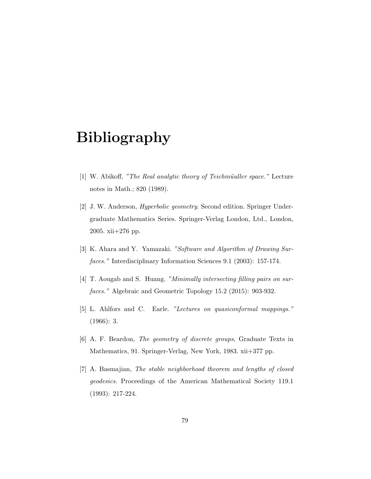## **Bibliography**

- [1] W. Abikoff, "The Real analytic theory of Teichmüuller space." Lecture notes in Math.; 820 (1989).
- [2] J. W. Anderson, *Hyperbolic geometry*. Second edition. Springer Undergraduate Mathematics Series. Springer-Verlag London, Ltd., London, 2005. xii+276 pp.
- [3] K. Ahara and Y. Yamazaki. *"Software and Algorithm of Drawing Surfaces."* Interdisciplinary Information Sciences 9.1 (2003): 157-174.
- [4] T. Aougab and S. Huang. *"Minimally intersecting filling pairs on surfaces."* Algebraic and Geometric Topology 15.2 (2015): 903-932.
- [5] L. Ahlfors and C. Earle. *"Lectures on quasiconformal mappings."* (1966): 3.
- [6] A. F. Beardon, *The geometry of discrete groups*, Graduate Texts in Mathematics, 91. Springer-Verlag, New York, 1983. xii+377 pp.
- [7] A. Basmajian, *The stable neighborhood theorem and lengths of closed geodesics.* Proceedings of the American Mathematical Society 119.1 (1993): 217-224.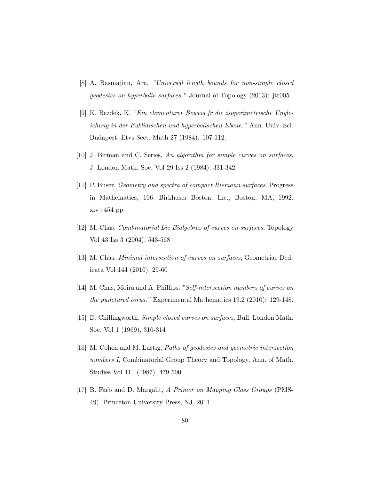- [8] A. Basmajian, Ara. *"Universal length bounds for non-simple closed geodesics on hyperbolic surfaces."* Journal of Topology (2013): jtt005.
- [9] K. Bezdek, K. *"Ein elementarer Beweis fr die isoperimetrische Ungleichung in der Euklidischen und hyperbolischen Ebene."* Ann. Univ. Sci. Budapest. Etvs Sect. Math 27 (1984): 107-112.
- [10] J. Birman and C. Series, *An algorithm for simple curves on surfaces*, J. London Math. Soc. Vol 29 Iss 2 (1984), 331-342.
- [11] P. Buser, *Geometry and spectra of compact Riemann surfaces*. Progress in Mathematics, 106. Birkhuser Boston, Inc., Boston, MA, 1992. xiv+454 pp.
- [12] M. Chas, *Combinatorial Lie Bialgebras of curves on surfaces*, Topology Vol 43 Iss 3 (2004), 543-568
- [13] M. Chas, *Minimal intersection of curves on surfaces*, Geometriae Dedicata Vol 144 (2010), 25-60
- [14] M. Chas, Moira and A. Phillips. *"Self-intersection numbers of curves on the punctured torus."* Experimental Mathematics 19.2 (2010): 129-148.
- [15] D. Chillingworth, *Simple closed curves on surfaces*, Bull. London Math. Soc. Vol 1 (1969), 310-314
- [16] M. Cohen and M. Lustig, *Paths of geodesics and geometric intersection numbers I*, Combinatorial Group Theory and Topology, Ann. of Math. Studies Vol 111 (1987), 479-500.
- [17] B. Farb and D. Margalit, *A Primer on Mapping Class Groups* (PMS-49). Princeton University Press, NJ, 2011.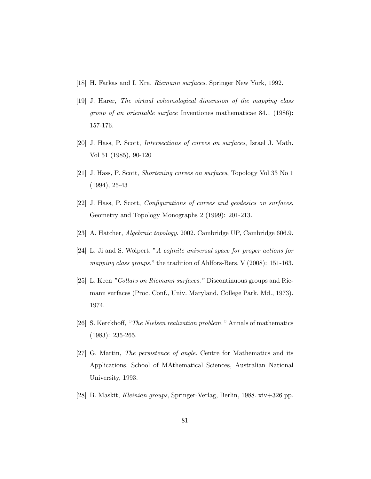- [18] H. Farkas and I. Kra. *Riemann surfaces*. Springer New York, 1992.
- <span id="page-86-2"></span>[19] J. Harer, *The virtual cohomological dimension of the mapping class group of an orientable surface* Inventiones mathematicae 84.1 (1986): 157-176.
- [20] J. Hass, P. Scott, *Intersections of curves on surfaces*, Israel J. Math. Vol 51 (1985), 90-120
- [21] J. Hass, P. Scott, *Shortening curves on surfaces*, Topology Vol 33 No 1 (1994), 25-43
- <span id="page-86-0"></span>[22] J. Hass, P. Scott, *Configurations of curves and geodesics on surfaces*, Geometry and Topology Monographs 2 (1999): 201-213.
- [23] A. Hatcher, *Algebraic topology*. 2002. Cambridge UP, Cambridge 606.9.
- <span id="page-86-3"></span>[24] L. Ji and S. Wolpert. "*A cofinite universal space for proper actions for mapping class groups.*" the tradition of Ahlfors-Bers. V (2008): 151-163.
- [25] L. Keen *"Collars on Riemann surfaces."* Discontinuous groups and Riemann surfaces (Proc. Conf., Univ. Maryland, College Park, Md., 1973). 1974.
- <span id="page-86-1"></span>[26] S. Kerckhoff, *"The Nielsen realization problem."* Annals of mathematics (1983): 235-265.
- [27] G. Martin, *The persistence of angle.* Centre for Mathematics and its Applications, School of MAthematical Sciences, Australian National University, 1993.
- [28] B. Maskit, *Kleinian groups*, Springer-Verlag, Berlin, 1988. xiv+326 pp.